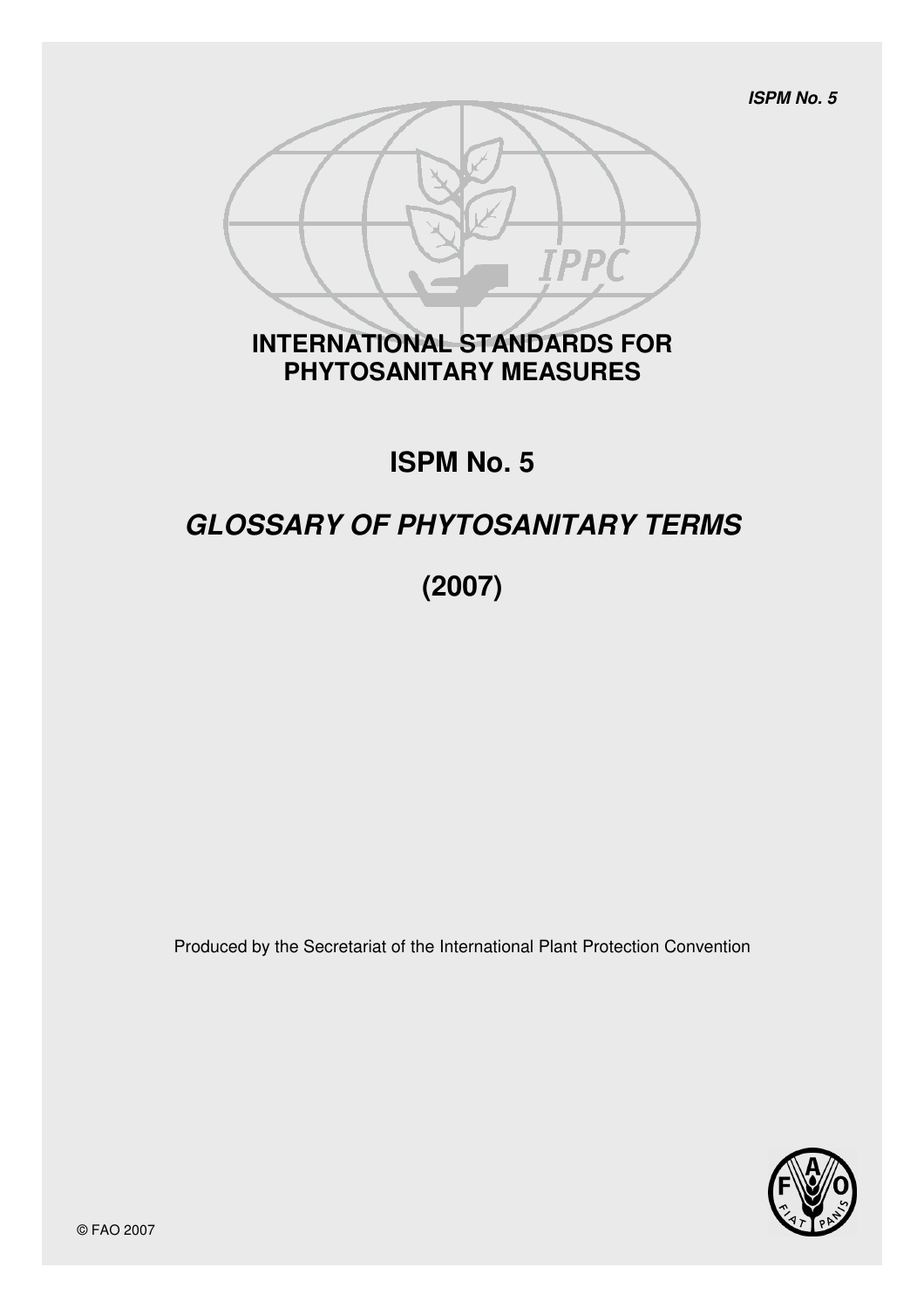**ISPM No. 5**



# **INTERNATIONAL STANDARDS FOR PHYTOSANITARY MEASURES**

# **ISPM No. 5**

# **GLOSSARY OF PHYTOSANITARY TERMS**

# **(2007)**

Produced by the Secretariat of the International Plant Protection Convention

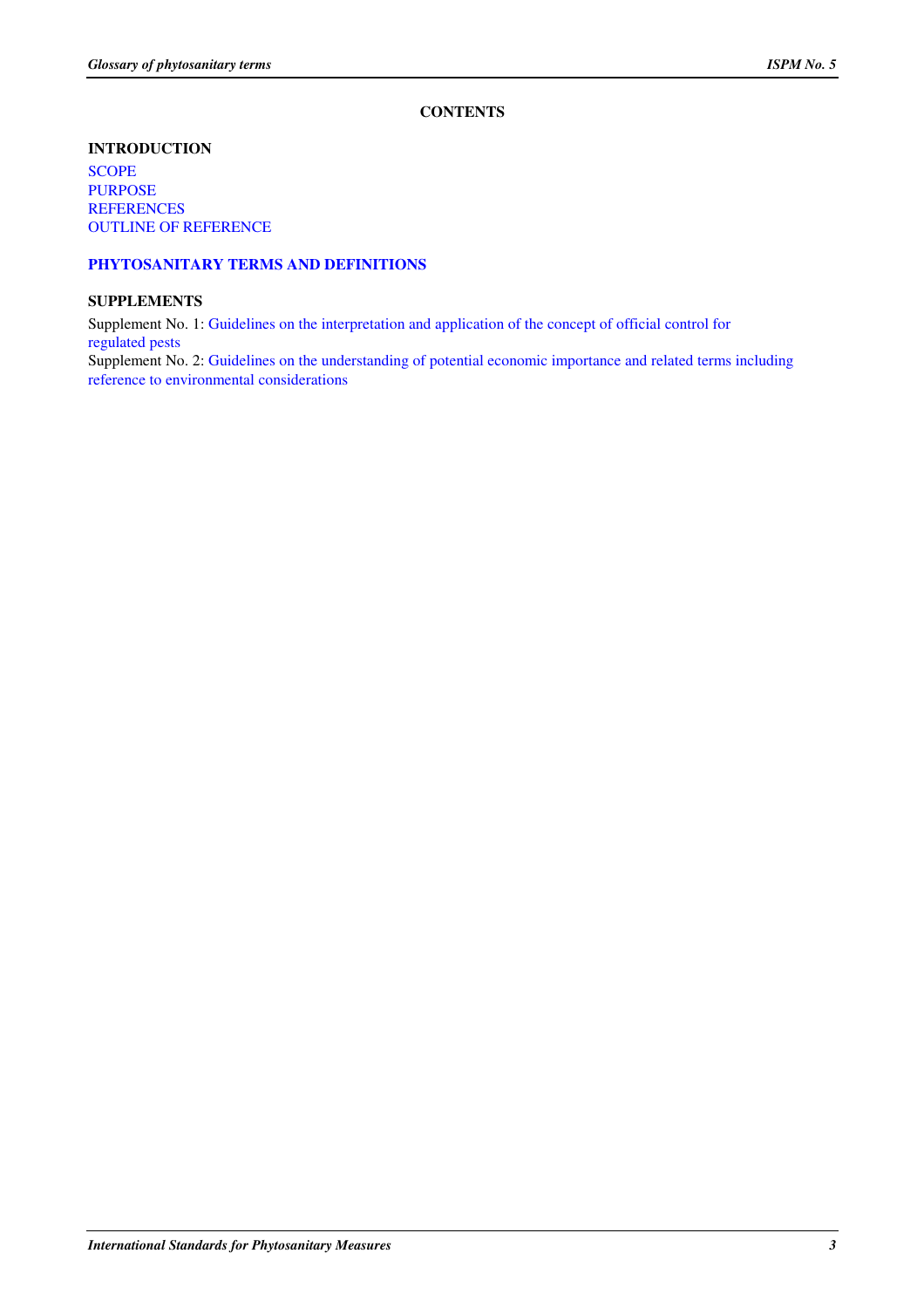# **CONTENTS**

### **INTRODUCTION**

**SCOPE** PURPOSE REFERENCES OUTLINE OF REFERENCE

# **PHYTOSANITARY TERMS AND DEFINITIONS**

#### **SUPPLEMENTS**

Supplement No. 1: Guidelines on the interpretation and application of the concept of official control for regulated pests

Supplement No. 2: Guidelines on the understanding of potential economic importance and related terms including reference to environmental considerations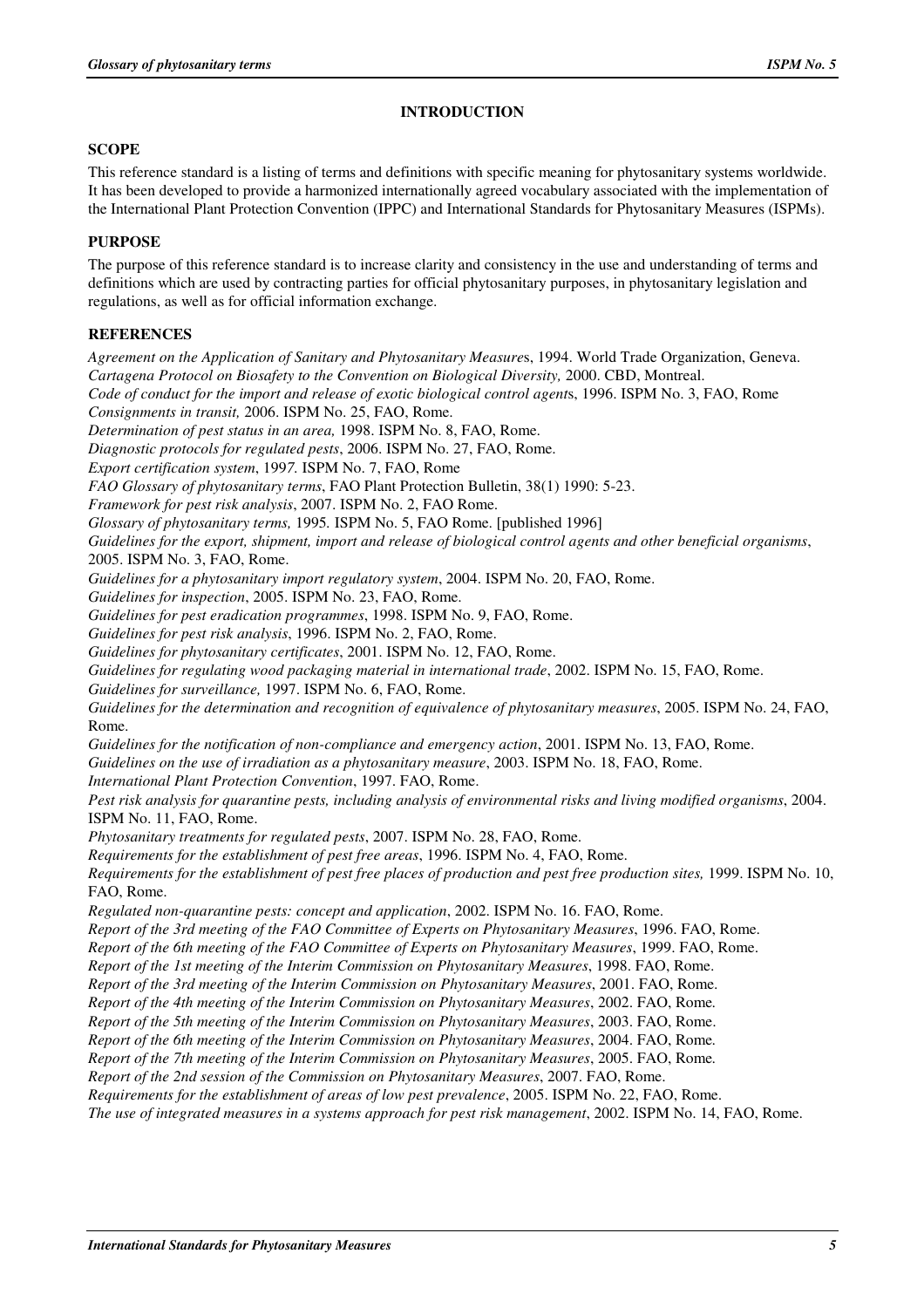# **INTRODUCTION**

#### **SCOPE**

This reference standard is a listing of terms and definitions with specific meaning for phytosanitary systems worldwide. It has been developed to provide a harmonized internationally agreed vocabulary associated with the implementation of the International Plant Protection Convention (IPPC) and International Standards for Phytosanitary Measures (ISPMs).

# **PURPOSE**

The purpose of this reference standard is to increase clarity and consistency in the use and understanding of terms and definitions which are used by contracting parties for official phytosanitary purposes, in phytosanitary legislation and regulations, as well as for official information exchange.

# **REFERENCES**

*Agreement on the Application of Sanitary and Phytosanitary Measure*s, 1994. World Trade Organization, Geneva. *Cartagena Protocol on Biosafety to the Convention on Biological Diversity,* 2000. CBD, Montreal. *Code of conduct for the import and release of exotic biological control agent*s, 1996. ISPM No. 3, FAO, Rome *Consignments in transit,* 2006. ISPM No. 25, FAO, Rome. *Determination of pest status in an area,* 1998. ISPM No. 8, FAO, Rome. *Diagnostic protocols for regulated pests*, 2006. ISPM No. 27, FAO, Rome. *Export certification system*, 199*7.* ISPM No. 7, FAO, Rome *FAO Glossary of phytosanitary terms*, FAO Plant Protection Bulletin, 38(1) 1990: 5-23. *Framework for pest risk analysis*, 2007. ISPM No. 2, FAO Rome. *Glossary of phytosanitary terms,* 1995*.* ISPM No. 5, FAO Rome. [published 1996] *Guidelines for the export, shipment, import and release of biological control agents and other beneficial organisms*, 2005. ISPM No. 3, FAO, Rome. *Guidelines for a phytosanitary import regulatory system*, 2004. ISPM No. 20, FAO, Rome. *Guidelines for inspection*, 2005. ISPM No. 23, FAO, Rome. *Guidelines for pest eradication programmes*, 1998. ISPM No. 9, FAO, Rome. *Guidelines for pest risk analysis*, 1996. ISPM No. 2, FAO, Rome. *Guidelines for phytosanitary certificates*, 2001. ISPM No. 12, FAO, Rome. *Guidelines for regulating wood packaging material in international trade*, 2002. ISPM No. 15, FAO, Rome. *Guidelines for surveillance,* 1997. ISPM No. 6, FAO, Rome. *Guidelines for the determination and recognition of equivalence of phytosanitary measures*, 2005. ISPM No. 24, FAO, Rome. *Guidelines for the notification of non-compliance and emergency action*, 2001. ISPM No. 13, FAO, Rome. *Guidelines on the use of irradiation as a phytosanitary measure*, 2003. ISPM No. 18, FAO, Rome. *International Plant Protection Convention*, 1997. FAO, Rome. *Pest risk analysis for quarantine pests, including analysis of environmental risks and living modified organisms*, 2004. ISPM No. 11, FAO, Rome. *Phytosanitary treatments for regulated pests*, 2007. ISPM No. 28, FAO, Rome. *Requirements for the establishment of pest free areas*, 1996. ISPM No. 4, FAO, Rome. *Requirements for the establishment of pest free places of production and pest free production sites,* 1999. ISPM No. 10, FAO, Rome. *Regulated non-quarantine pests: concept and application*, 2002. ISPM No. 16. FAO, Rome. *Report of the 3rd meeting of the FAO Committee of Experts on Phytosanitary Measures*, 1996. FAO, Rome. *Report of the 6th meeting of the FAO Committee of Experts on Phytosanitary Measures*, 1999. FAO, Rome. *Report of the 1st meeting of the Interim Commission on Phytosanitary Measures*, 1998. FAO, Rome. *Report of the 3rd meeting of the Interim Commission on Phytosanitary Measures*, 2001. FAO, Rome. *Report of the 4th meeting of the Interim Commission on Phytosanitary Measures*, 2002. FAO, Rome*. Report of the 5th meeting of the Interim Commission on Phytosanitary Measures*, 2003. FAO, Rome. *Report of the 6th meeting of the Interim Commission on Phytosanitary Measures*, 2004. FAO, Rome*. Report of the 7th meeting of the Interim Commission on Phytosanitary Measures*, 2005. FAO, Rome*. Report of the 2nd session of the Commission on Phytosanitary Measures*, 2007. FAO, Rome. *Requirements for the establishment of areas of low pest prevalence*, 2005. ISPM No. 22, FAO, Rome. *The use of integrated measures in a systems approach for pest risk management*, 2002. ISPM No. 14, FAO, Rome.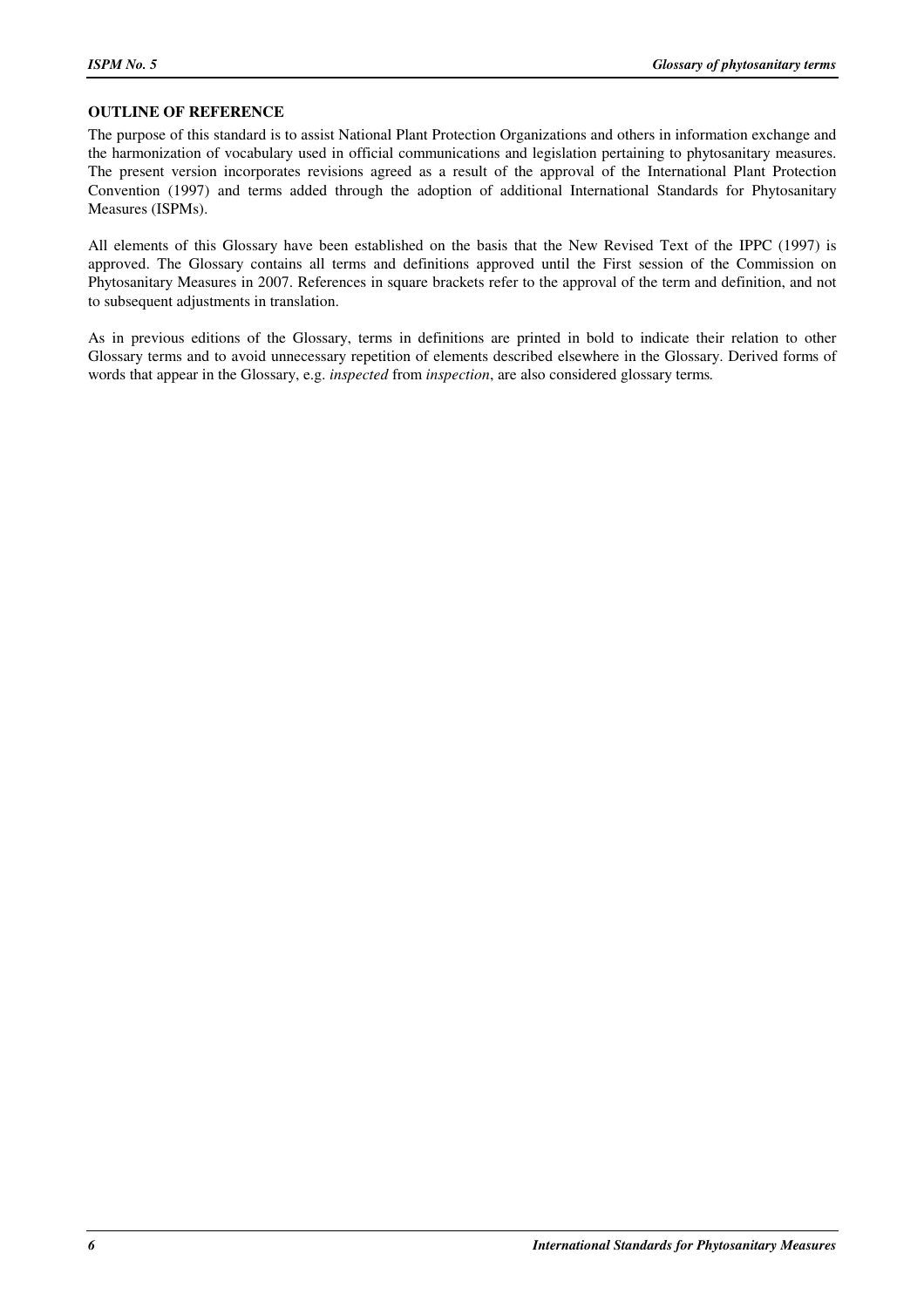#### **OUTLINE OF REFERENCE**

The purpose of this standard is to assist National Plant Protection Organizations and others in information exchange and the harmonization of vocabulary used in official communications and legislation pertaining to phytosanitary measures. The present version incorporates revisions agreed as a result of the approval of the International Plant Protection Convention (1997) and terms added through the adoption of additional International Standards for Phytosanitary Measures (ISPMs).

All elements of this Glossary have been established on the basis that the New Revised Text of the IPPC (1997) is approved. The Glossary contains all terms and definitions approved until the First session of the Commission on Phytosanitary Measures in 2007. References in square brackets refer to the approval of the term and definition, and not to subsequent adjustments in translation.

As in previous editions of the Glossary, terms in definitions are printed in bold to indicate their relation to other Glossary terms and to avoid unnecessary repetition of elements described elsewhere in the Glossary. Derived forms of words that appear in the Glossary, e.g. *inspected* from *inspection*, are also considered glossary terms*.*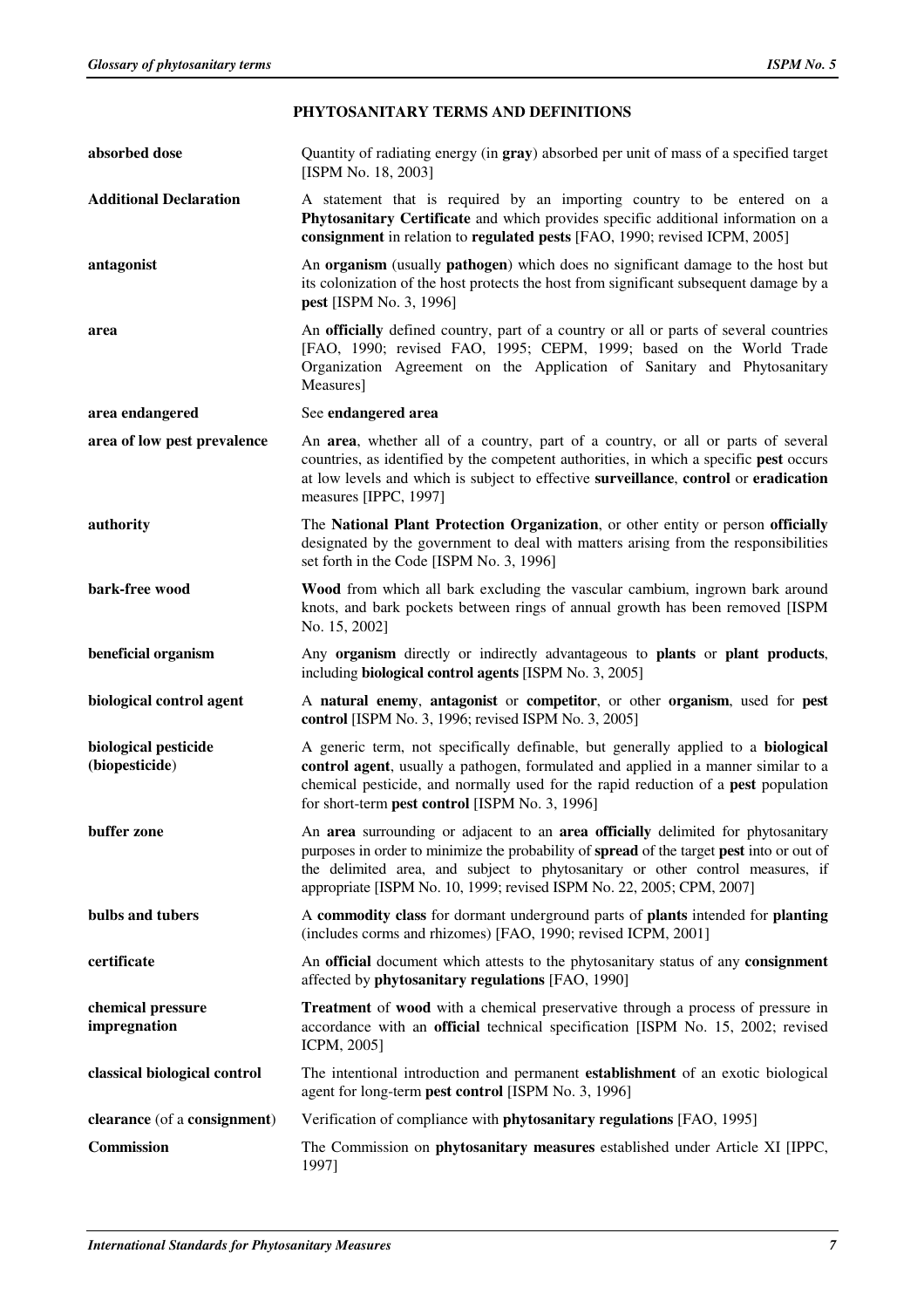| absorbed dose                          | Quantity of radiating energy (in gray) absorbed per unit of mass of a specified target<br>[ISPM No. 18, 2003]                                                                                                                                                                                                                             |
|----------------------------------------|-------------------------------------------------------------------------------------------------------------------------------------------------------------------------------------------------------------------------------------------------------------------------------------------------------------------------------------------|
| <b>Additional Declaration</b>          | A statement that is required by an importing country to be entered on a<br>Phytosanitary Certificate and which provides specific additional information on a<br>consignment in relation to regulated pests [FAO, 1990; revised ICPM, 2005]                                                                                                |
| antagonist                             | An organism (usually pathogen) which does no significant damage to the host but<br>its colonization of the host protects the host from significant subsequent damage by a<br><b>pest</b> [ISPM No. 3, 1996]                                                                                                                               |
| area                                   | An officially defined country, part of a country or all or parts of several countries<br>[FAO, 1990; revised FAO, 1995; CEPM, 1999; based on the World Trade<br>Organization Agreement on the Application of Sanitary and Phytosanitary<br>Measures]                                                                                      |
| area endangered                        | See endangered area                                                                                                                                                                                                                                                                                                                       |
| area of low pest prevalence            | An area, whether all of a country, part of a country, or all or parts of several<br>countries, as identified by the competent authorities, in which a specific pest occurs<br>at low levels and which is subject to effective surveillance, control or eradication<br>measures [IPPC, 1997]                                               |
| authority                              | The National Plant Protection Organization, or other entity or person officially<br>designated by the government to deal with matters arising from the responsibilities<br>set forth in the Code [ISPM No. 3, 1996]                                                                                                                       |
| bark-free wood                         | Wood from which all bark excluding the vascular cambium, ingrown bark around<br>knots, and bark pockets between rings of annual growth has been removed [ISPM<br>No. 15, 2002]                                                                                                                                                            |
| beneficial organism                    | Any organism directly or indirectly advantageous to plants or plant products,<br>including <b>biological control agents</b> [ISPM No. 3, 2005]                                                                                                                                                                                            |
| biological control agent               | A natural enemy, antagonist or competitor, or other organism, used for pest<br>control [ISPM No. 3, 1996; revised ISPM No. 3, 2005]                                                                                                                                                                                                       |
| biological pesticide<br>(biopesticide) | A generic term, not specifically definable, but generally applied to a biological<br>control agent, usually a pathogen, formulated and applied in a manner similar to a                                                                                                                                                                   |
|                                        | chemical pesticide, and normally used for the rapid reduction of a <b>pest</b> population<br>for short-term pest control [ISPM No. 3, 1996]                                                                                                                                                                                               |
| buffer zone                            | An area surrounding or adjacent to an area officially delimited for phytosanitary<br>purposes in order to minimize the probability of spread of the target pest into or out of<br>the delimited area, and subject to phytosanitary or other control measures, if<br>appropriate [ISPM No. 10, 1999; revised ISPM No. 22, 2005; CPM, 2007] |
| bulbs and tubers                       | A commodity class for dormant underground parts of plants intended for planting<br>(includes corms and rhizomes) [FAO, 1990; revised ICPM, 2001]                                                                                                                                                                                          |
| certificate                            | An official document which attests to the phytosanitary status of any consignment<br>affected by phytosanitary regulations [FAO, 1990]                                                                                                                                                                                                    |
| chemical pressure<br>impregnation      | Treatment of wood with a chemical preservative through a process of pressure in<br>accordance with an official technical specification [ISPM No. 15, 2002; revised<br>ICPM, 2005]                                                                                                                                                         |
| classical biological control           | The intentional introduction and permanent establishment of an exotic biological<br>agent for long-term pest control [ISPM No. 3, 1996]                                                                                                                                                                                                   |
| clearance (of a consignment)           | Verification of compliance with phytosanitary regulations [FAO, 1995]                                                                                                                                                                                                                                                                     |

# **PHYTOSANITARY TERMS AND DEFINITIONS**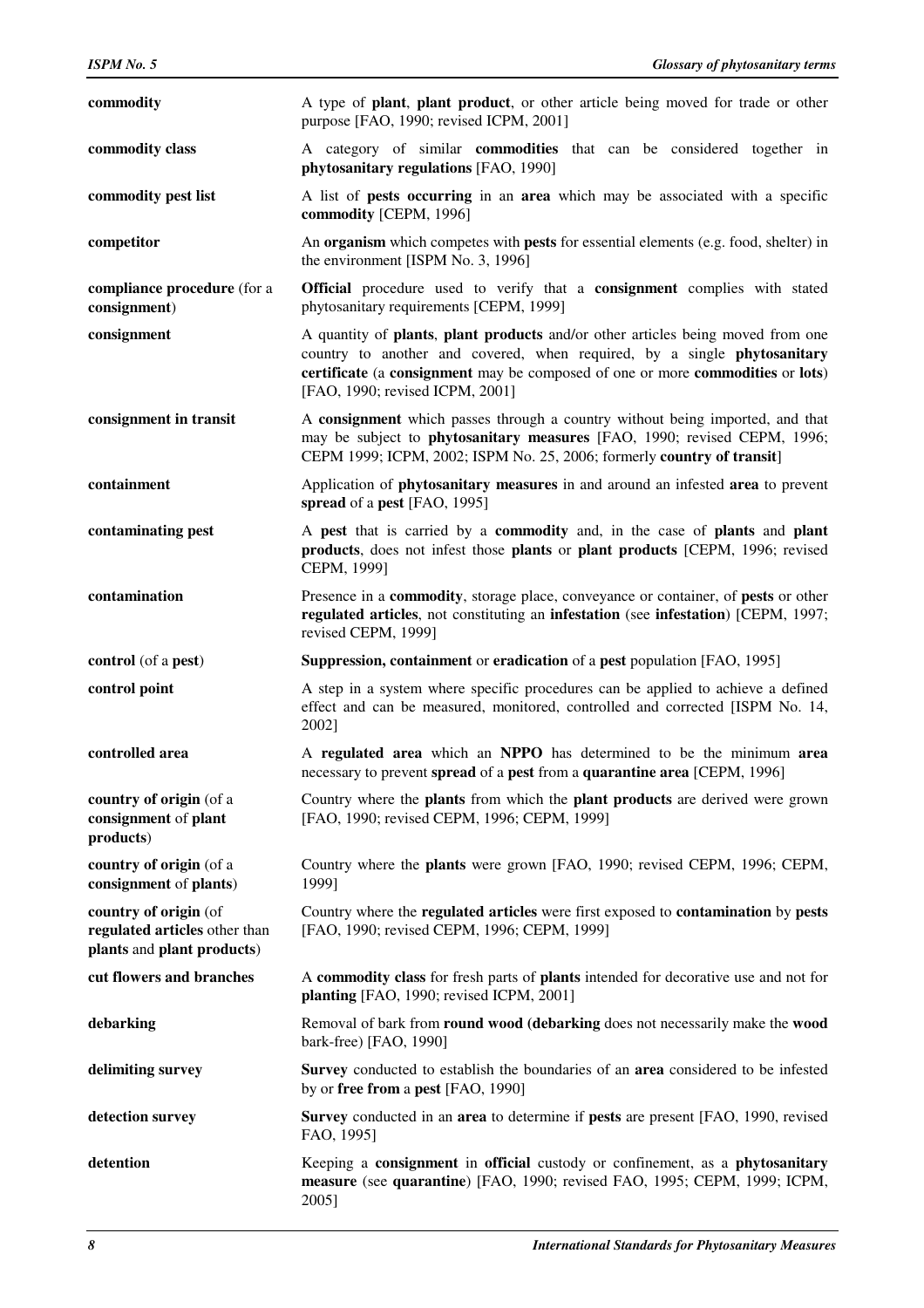| commodity                                                                            | A type of <b>plant</b> , <b>plant</b> product, or other article being moved for trade or other<br>purpose [FAO, 1990; revised ICPM, 2001]                                                                                                                                        |
|--------------------------------------------------------------------------------------|----------------------------------------------------------------------------------------------------------------------------------------------------------------------------------------------------------------------------------------------------------------------------------|
| commodity class                                                                      | A category of similar <b>commodities</b> that can be considered together in<br>phytosanitary regulations [FAO, 1990]                                                                                                                                                             |
| commodity pest list                                                                  | A list of <b>pests occurring</b> in an <b>area</b> which may be associated with a specific<br>commodity [CEPM, 1996]                                                                                                                                                             |
| competitor                                                                           | An organism which competes with pests for essential elements (e.g. food, shelter) in<br>the environment [ISPM No. 3, 1996]                                                                                                                                                       |
| compliance procedure (for a<br>consignment)                                          | <b>Official</b> procedure used to verify that a <b>consignment</b> complies with stated<br>phytosanitary requirements [CEPM, 1999]                                                                                                                                               |
| consignment                                                                          | A quantity of plants, plant products and/or other articles being moved from one<br>country to another and covered, when required, by a single phytosanitary<br>certificate (a consignment may be composed of one or more commodities or lots)<br>[FAO, 1990; revised ICPM, 2001] |
| consignment in transit                                                               | A consignment which passes through a country without being imported, and that<br>may be subject to phytosanitary measures [FAO, 1990; revised CEPM, 1996;<br>CEPM 1999; ICPM, 2002; ISPM No. 25, 2006; formerly country of transit]                                              |
| containment                                                                          | Application of <b>phytosanitary measures</b> in and around an infested area to prevent<br>spread of a pest [FAO, 1995]                                                                                                                                                           |
| contaminating pest                                                                   | A pest that is carried by a commodity and, in the case of plants and plant<br>products, does not infest those plants or plant products [CEPM, 1996; revised<br>CEPM, 1999]                                                                                                       |
| contamination                                                                        | Presence in a commodity, storage place, conveyance or container, of pests or other<br>regulated articles, not constituting an infestation (see infestation) [CEPM, 1997;<br>revised CEPM, 1999]                                                                                  |
|                                                                                      |                                                                                                                                                                                                                                                                                  |
| control (of a pest)                                                                  | Suppression, containment or eradication of a pest population [FAO, 1995]                                                                                                                                                                                                         |
| control point                                                                        | A step in a system where specific procedures can be applied to achieve a defined<br>effect and can be measured, monitored, controlled and corrected [ISPM No. 14,<br>2002]                                                                                                       |
| controlled area                                                                      | A regulated area which an NPPO has determined to be the minimum area<br>necessary to prevent spread of a pest from a quarantine area [CEPM, 1996]                                                                                                                                |
| country of origin (of a<br>consignment of plant<br>products)                         | Country where the <b>plants</b> from which the <b>plant products</b> are derived were grown<br>[FAO, 1990; revised CEPM, 1996; CEPM, 1999]                                                                                                                                       |
| country of origin (of a<br>consignment of plants)                                    | Country where the <b>plants</b> were grown [FAO, 1990; revised CEPM, 1996; CEPM,<br>1999]                                                                                                                                                                                        |
| country of origin (of<br>regulated articles other than<br>plants and plant products) | Country where the regulated articles were first exposed to contamination by pests<br>[FAO, 1990; revised CEPM, 1996; CEPM, 1999]                                                                                                                                                 |
| cut flowers and branches                                                             | A commodity class for fresh parts of plants intended for decorative use and not for<br>planting [FAO, 1990; revised ICPM, 2001]                                                                                                                                                  |
| debarking                                                                            | Removal of bark from round wood (debarking does not necessarily make the wood<br>bark-free) [FAO, 1990]                                                                                                                                                                          |
| delimiting survey                                                                    | Survey conducted to establish the boundaries of an area considered to be infested<br>by or free from a pest [FAO, 1990]                                                                                                                                                          |
| detection survey                                                                     | Survey conducted in an area to determine if pests are present [FAO, 1990, revised]<br>FAO, 1995]                                                                                                                                                                                 |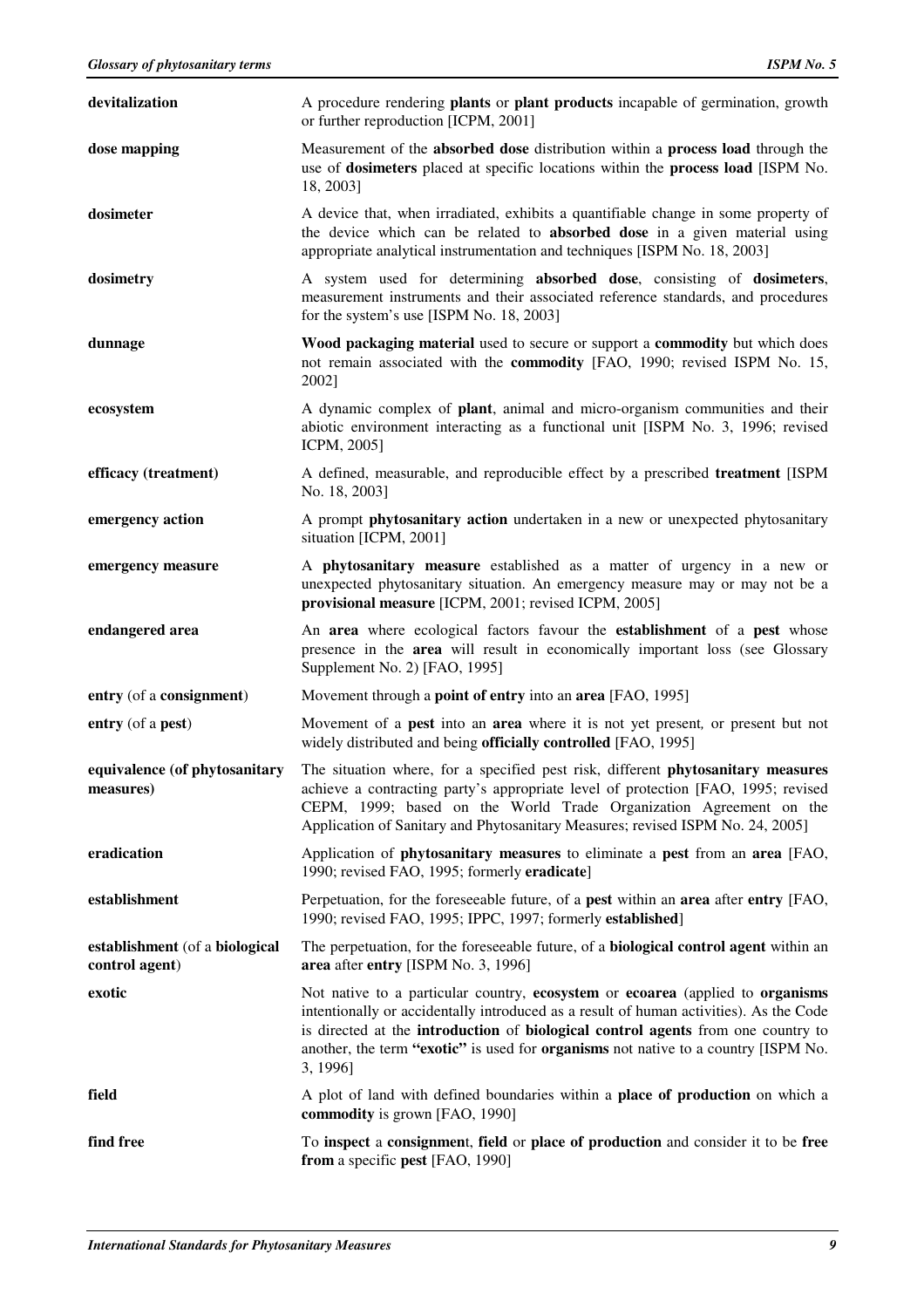| devitalization                                   | A procedure rendering <b>plants</b> or <b>plant products</b> incapable of germination, growth<br>or further reproduction [ICPM, 2001]                                                                                                                                                                                                                                        |
|--------------------------------------------------|------------------------------------------------------------------------------------------------------------------------------------------------------------------------------------------------------------------------------------------------------------------------------------------------------------------------------------------------------------------------------|
| dose mapping                                     | Measurement of the absorbed dose distribution within a process load through the<br>use of dosimeters placed at specific locations within the process load [ISPM No.<br>18, 2003]                                                                                                                                                                                             |
| dosimeter                                        | A device that, when irradiated, exhibits a quantifiable change in some property of<br>the device which can be related to absorbed dose in a given material using<br>appropriate analytical instrumentation and techniques [ISPM No. 18, 2003]                                                                                                                                |
| dosimetry                                        | A system used for determining absorbed dose, consisting of dosimeters,<br>measurement instruments and their associated reference standards, and procedures<br>for the system's use [ISPM No. 18, 2003]                                                                                                                                                                       |
| dunnage                                          | Wood packaging material used to secure or support a commodity but which does<br>not remain associated with the commodity [FAO, 1990; revised ISPM No. 15,<br>2002]                                                                                                                                                                                                           |
| ecosystem                                        | A dynamic complex of <b>plant</b> , animal and micro-organism communities and their<br>abiotic environment interacting as a functional unit [ISPM No. 3, 1996; revised<br>ICPM, 2005]                                                                                                                                                                                        |
| efficacy (treatment)                             | A defined, measurable, and reproducible effect by a prescribed treatment [ISPM<br>No. 18, 2003]                                                                                                                                                                                                                                                                              |
| emergency action                                 | A prompt <b>phytosanitary action</b> undertaken in a new or unexpected phytosanitary<br>situation [ICPM, 2001]                                                                                                                                                                                                                                                               |
| emergency measure                                | A phytosanitary measure established as a matter of urgency in a new or<br>unexpected phytosanitary situation. An emergency measure may or may not be a<br>provisional measure [ICPM, 2001; revised ICPM, 2005]                                                                                                                                                               |
| endangered area                                  | An area where ecological factors favour the establishment of a pest whose<br>presence in the <b>area</b> will result in economically important loss (see Glossary<br>Supplement No. 2) [FAO, 1995]                                                                                                                                                                           |
| entry (of a consignment)                         | Movement through a <b>point of entry</b> into an <b>area</b> [FAO, 1995]                                                                                                                                                                                                                                                                                                     |
| entry (of a pest)                                | Movement of a <b>pest</b> into an <b>area</b> where it is not yet present, or present but not<br>widely distributed and being officially controlled [FAO, 1995]                                                                                                                                                                                                              |
| equivalence (of phytosanitary<br>measures)       | The situation where, for a specified pest risk, different phytosanitary measures<br>achieve a contracting party's appropriate level of protection [FAO, 1995; revised<br>CEPM, 1999; based on the World Trade Organization Agreement on the<br>Application of Sanitary and Phytosanitary Measures; revised ISPM No. 24, 2005]                                                |
| eradication                                      | Application of <b>phytosanitary measures</b> to eliminate a <b>pest</b> from an <b>area</b> [FAO,<br>1990; revised FAO, 1995; formerly eradicate]                                                                                                                                                                                                                            |
| establishment                                    | Perpetuation, for the foreseeable future, of a <b>pest</b> within an <b>area</b> after <b>entry</b> [FAO,<br>1990; revised FAO, 1995; IPPC, 1997; formerly established]                                                                                                                                                                                                      |
| establishment (of a biological<br>control agent) | The perpetuation, for the foreseeable future, of a <b>biological control agent</b> within an<br>area after entry [ISPM No. 3, 1996]                                                                                                                                                                                                                                          |
| exotic                                           | Not native to a particular country, ecosystem or ecoarea (applied to organisms<br>intentionally or accidentally introduced as a result of human activities). As the Code<br>is directed at the <b>introduction</b> of <b>biological control agents</b> from one country to<br>another, the term "exotic" is used for organisms not native to a country [ISPM No.<br>3, 1996] |
| field                                            | A plot of land with defined boundaries within a <b>place of production</b> on which a<br>commodity is grown [FAO, 1990]                                                                                                                                                                                                                                                      |
| find free                                        | To inspect a consignment, field or place of production and consider it to be free<br>from a specific pest [FAO, 1990]                                                                                                                                                                                                                                                        |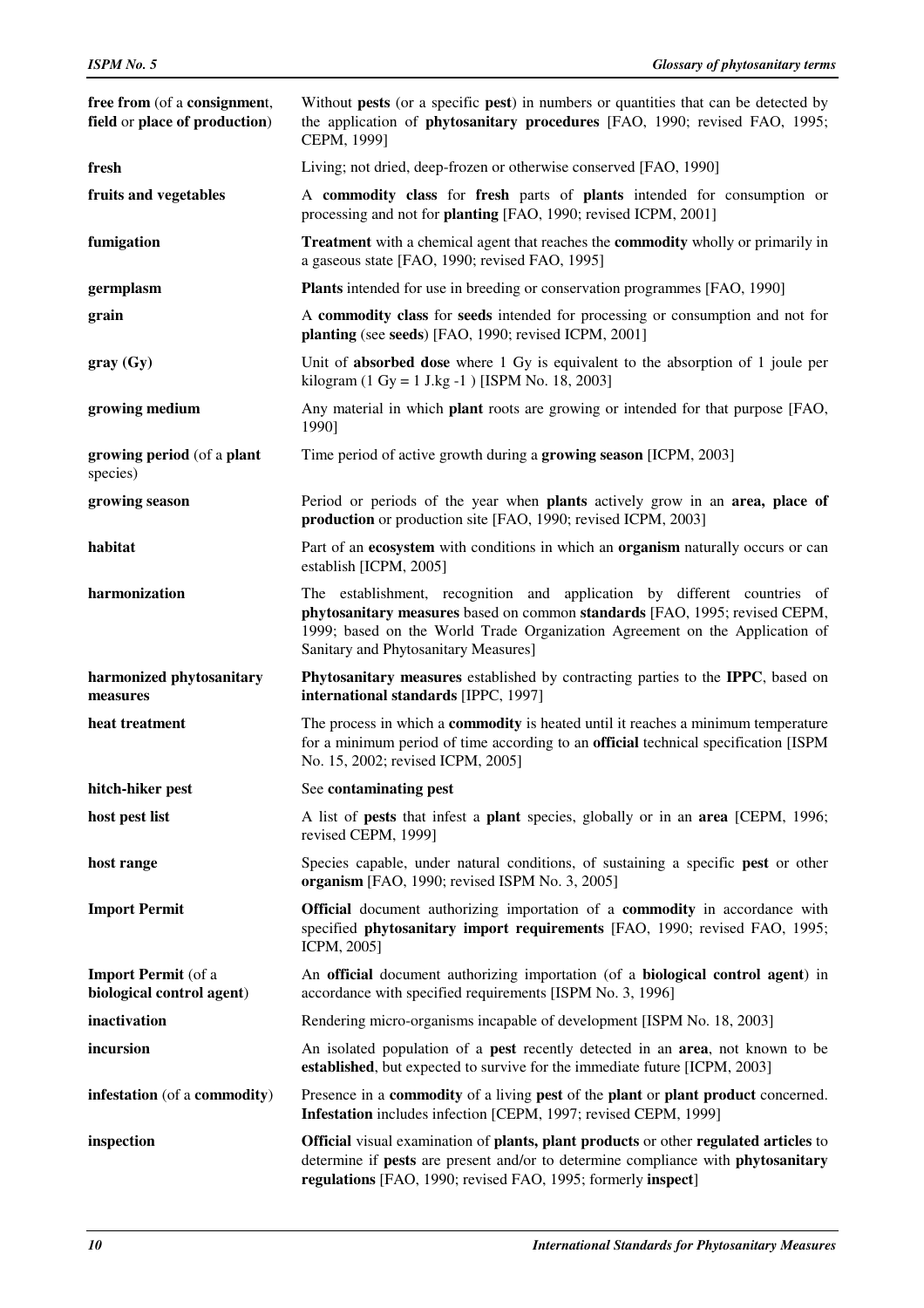| free from (of a consignment,<br>field or place of production) | Without pests (or a specific pest) in numbers or quantities that can be detected by<br>the application of phytosanitary procedures [FAO, 1990; revised FAO, 1995;<br>CEPM, 1999]                                                                                              |
|---------------------------------------------------------------|-------------------------------------------------------------------------------------------------------------------------------------------------------------------------------------------------------------------------------------------------------------------------------|
| fresh                                                         | Living; not dried, deep-frozen or otherwise conserved [FAO, 1990]                                                                                                                                                                                                             |
| fruits and vegetables                                         | A commodity class for fresh parts of plants intended for consumption or<br>processing and not for planting [FAO, 1990; revised ICPM, 2001]                                                                                                                                    |
| fumigation                                                    | <b>Treatment</b> with a chemical agent that reaches the <b>commodity</b> wholly or primarily in<br>a gaseous state [FAO, 1990; revised FAO, 1995]                                                                                                                             |
| germplasm                                                     | <b>Plants</b> intended for use in breeding or conservation programmes [FAO, 1990]                                                                                                                                                                                             |
| grain                                                         | A commodity class for seeds intended for processing or consumption and not for<br>planting (see seeds) [FAO, 1990; revised ICPM, 2001]                                                                                                                                        |
| gray(Gy)                                                      | Unit of <b>absorbed dose</b> where 1 Gy is equivalent to the absorption of 1 joule per<br>kilogram (1 Gy = 1 J.kg -1 ) [ISPM No. 18, 2003]                                                                                                                                    |
| growing medium                                                | Any material in which <b>plant</b> roots are growing or intended for that purpose [FAO,<br>1990]                                                                                                                                                                              |
| growing period (of a plant<br>species)                        | Time period of active growth during a growing season [ICPM, 2003]                                                                                                                                                                                                             |
| growing season                                                | Period or periods of the year when plants actively grow in an area, place of<br>production or production site [FAO, 1990; revised ICPM, 2003]                                                                                                                                 |
| habitat                                                       | Part of an ecosystem with conditions in which an organism naturally occurs or can<br>establish [ICPM, 2005]                                                                                                                                                                   |
| harmonization                                                 | The establishment, recognition and application by different countries of<br>phytosanitary measures based on common standards [FAO, 1995; revised CEPM,<br>1999; based on the World Trade Organization Agreement on the Application of<br>Sanitary and Phytosanitary Measures] |
| harmonized phytosanitary<br>measures                          | Phytosanitary measures established by contracting parties to the IPPC, based on<br>international standards [IPPC, 1997]                                                                                                                                                       |
| heat treatment                                                | The process in which a <b>commodity</b> is heated until it reaches a minimum temperature<br>for a minimum period of time according to an official technical specification [ISPM<br>No. 15, 2002; revised ICPM, 2005]                                                          |
| hitch-hiker pest                                              | See contaminating pest                                                                                                                                                                                                                                                        |
| host pest list                                                | A list of <b>pests</b> that infest a <b>plant</b> species, globally or in an <b>area</b> [CEPM, 1996;<br>revised CEPM, 1999]                                                                                                                                                  |
| host range                                                    | Species capable, under natural conditions, of sustaining a specific pest or other<br>organism [FAO, 1990; revised ISPM No. 3, 2005]                                                                                                                                           |
| <b>Import Permit</b>                                          | <b>Official</b> document authorizing importation of a <b>commodity</b> in accordance with<br>specified phytosanitary import requirements [FAO, 1990; revised FAO, 1995;<br>ICPM, 2005]                                                                                        |
| <b>Import Permit</b> (of a<br>biological control agent)       | An official document authorizing importation (of a biological control agent) in<br>accordance with specified requirements [ISPM No. 3, 1996]                                                                                                                                  |
| inactivation                                                  | Rendering micro-organisms incapable of development [ISPM No. 18, 2003]                                                                                                                                                                                                        |
| incursion                                                     | An isolated population of a <b>pest</b> recently detected in an <b>area</b> , not known to be<br>established, but expected to survive for the immediate future [ICPM, 2003]                                                                                                   |
| infestation (of a commodity)                                  | Presence in a commodity of a living pest of the plant or plant product concerned.<br>Infestation includes infection [CEPM, 1997; revised CEPM, 1999]                                                                                                                          |
| inspection                                                    | <b>Official</b> visual examination of plants, plant products or other regulated articles to<br>determine if pests are present and/or to determine compliance with phytosanitary<br>regulations [FAO, 1990; revised FAO, 1995; formerly inspect]                               |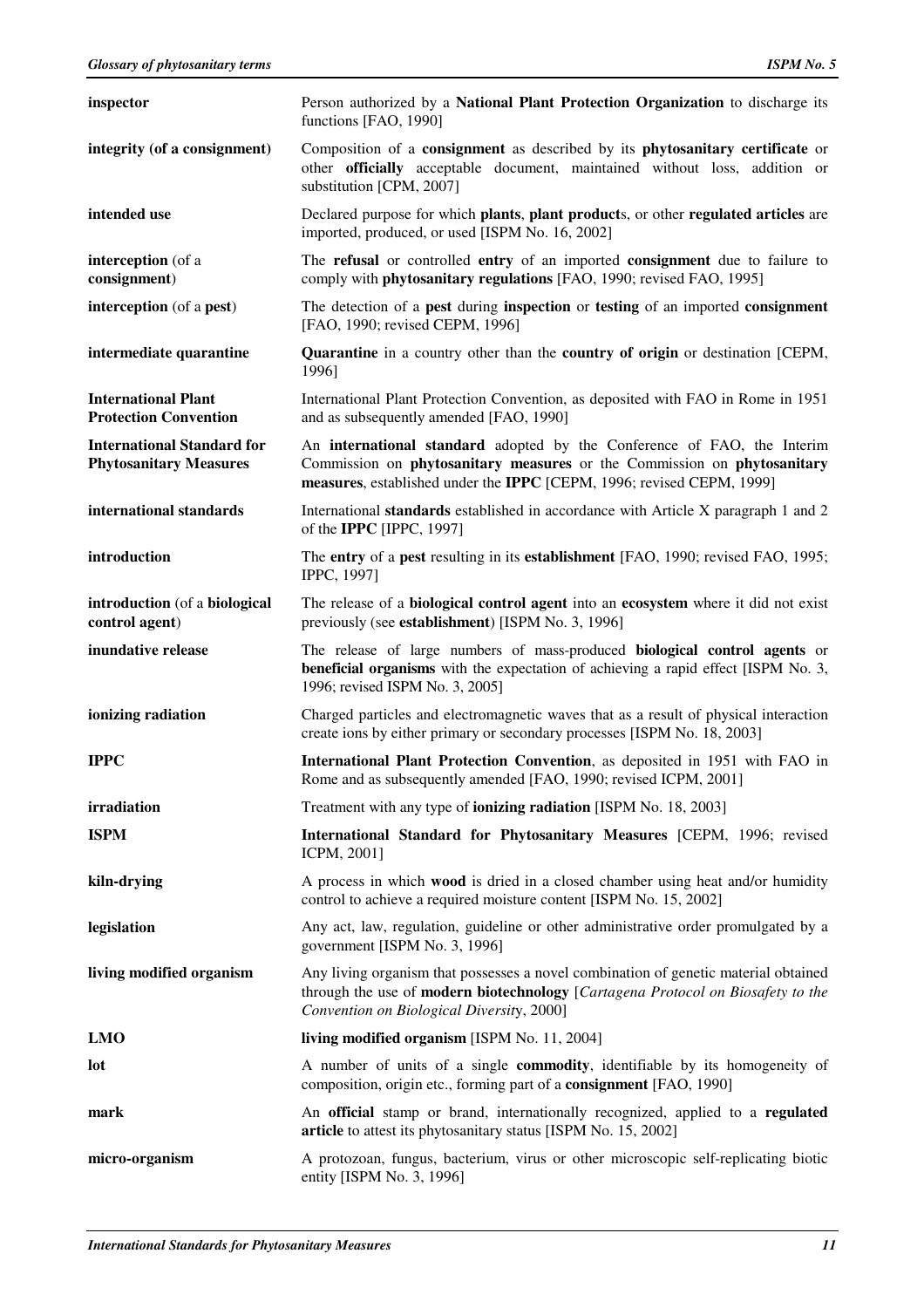| inspector                                                          | Person authorized by a National Plant Protection Organization to discharge its<br>functions [FAO, 1990]                                                                                                                            |
|--------------------------------------------------------------------|------------------------------------------------------------------------------------------------------------------------------------------------------------------------------------------------------------------------------------|
| integrity (of a consignment)                                       | Composition of a consignment as described by its phytosanitary certificate or<br>other <b>officially</b> acceptable document, maintained without loss, addition or<br>substitution [CPM, 2007]                                     |
| intended use                                                       | Declared purpose for which plants, plant products, or other regulated articles are<br>imported, produced, or used [ISPM No. 16, 2002]                                                                                              |
| interception (of a<br>consignment)                                 | The refusal or controlled entry of an imported consignment due to failure to<br>comply with <b>phytosanitary regulations</b> [FAO, 1990; revised FAO, 1995]                                                                        |
| interception (of a pest)                                           | The detection of a <b>pest</b> during <b>inspection</b> or <b>testing</b> of an imported <b>consignment</b><br>[FAO, 1990; revised CEPM, 1996]                                                                                     |
| intermediate quarantine                                            | <b>Quarantine</b> in a country other than the <b>country of origin</b> or destination [CEPM,<br>1996]                                                                                                                              |
| <b>International Plant</b><br><b>Protection Convention</b>         | International Plant Protection Convention, as deposited with FAO in Rome in 1951<br>and as subsequently amended [FAO, 1990]                                                                                                        |
| <b>International Standard for</b><br><b>Phytosanitary Measures</b> | An <b>international standard</b> adopted by the Conference of FAO, the Interim<br>Commission on phytosanitary measures or the Commission on phytosanitary<br>measures, established under the IPPC [CEPM, 1996; revised CEPM, 1999] |
| international standards                                            | International <b>standards</b> established in accordance with Article X paragraph 1 and 2<br>of the IPPC [IPPC, 1997]                                                                                                              |
| introduction                                                       | The entry of a pest resulting in its establishment [FAO, 1990; revised FAO, 1995;<br>IPPC, 1997]                                                                                                                                   |
| introduction (of a biological<br>control agent)                    | The release of a <b>biological control agent</b> into an <b>ecosystem</b> where it did not exist<br>previously (see <b>establishment</b> ) [ISPM No. 3, 1996]                                                                      |
|                                                                    |                                                                                                                                                                                                                                    |
| inundative release                                                 | The release of large numbers of mass-produced <b>biological control agents</b> or<br><b>beneficial organisms</b> with the expectation of achieving a rapid effect [ISPM No. 3,<br>1996; revised ISPM No. 3, 2005]                  |
| ionizing radiation                                                 | Charged particles and electromagnetic waves that as a result of physical interaction<br>create ions by either primary or secondary processes [ISPM No. 18, 2003]                                                                   |
| <b>IPPC</b>                                                        | International Plant Protection Convention, as deposited in 1951 with FAO in<br>Rome and as subsequently amended [FAO, 1990; revised ICPM, 2001]                                                                                    |
| irradiation                                                        | Treatment with any type of <b>ionizing radiation</b> [ISPM No. 18, 2003]                                                                                                                                                           |
| <b>ISPM</b>                                                        | International Standard for Phytosanitary Measures [CEPM, 1996; revised<br>ICPM, 2001]                                                                                                                                              |
| kiln-drying                                                        | A process in which <b>wood</b> is dried in a closed chamber using heat and/or humidity<br>control to achieve a required moisture content [ISPM No. 15, 2002]                                                                       |
| legislation                                                        | Any act, law, regulation, guideline or other administrative order promulgated by a<br>government [ISPM No. 3, 1996]                                                                                                                |
| living modified organism                                           | Any living organism that possesses a novel combination of genetic material obtained<br>through the use of modern biotechnology [Cartagena Protocol on Biosafety to the<br>Convention on Biological Diversity, 2000]                |
| <b>LMO</b>                                                         | living modified organism [ISPM No. 11, 2004]                                                                                                                                                                                       |
| lot                                                                | A number of units of a single <b>commodity</b> , identifiable by its homogeneity of<br>composition, origin etc., forming part of a <b>consignment</b> [FAO, 1990]                                                                  |
| mark                                                               | An official stamp or brand, internationally recognized, applied to a regulated<br>article to attest its phytosanitary status [ISPM No. 15, 2002]                                                                                   |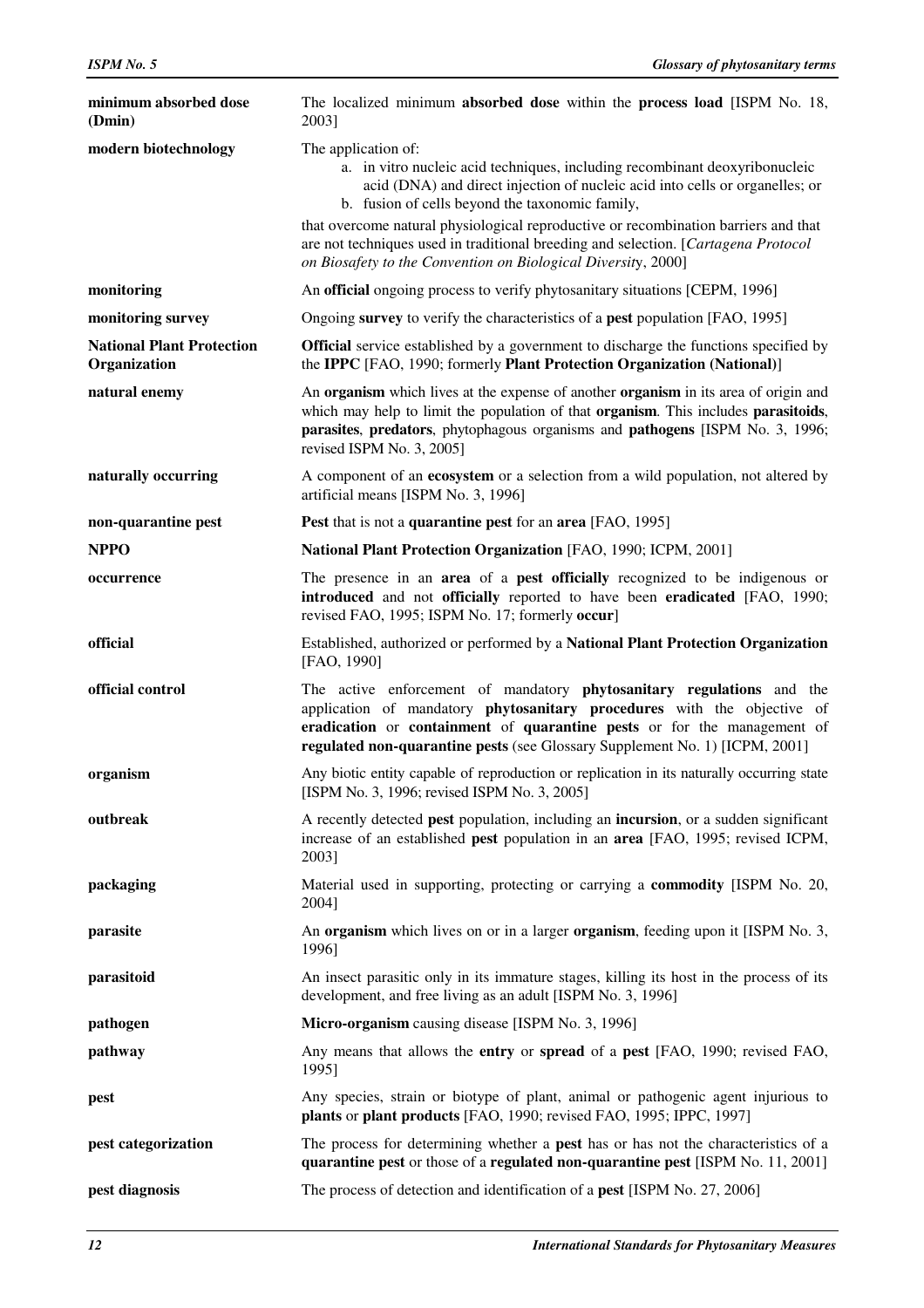| minimum absorbed dose<br>(Dmin)                  | The localized minimum absorbed dose within the process load [ISPM No. 18,<br>2003]                                                                                                                                                                                                                         |
|--------------------------------------------------|------------------------------------------------------------------------------------------------------------------------------------------------------------------------------------------------------------------------------------------------------------------------------------------------------------|
| modern biotechnology                             | The application of:<br>a. in vitro nucleic acid techniques, including recombinant deoxyribonucleic<br>acid (DNA) and direct injection of nucleic acid into cells or organelles; or<br>b. fusion of cells beyond the taxonomic family,                                                                      |
|                                                  | that overcome natural physiological reproductive or recombination barriers and that<br>are not techniques used in traditional breeding and selection. [Cartagena Protocol]<br>on Biosafety to the Convention on Biological Diversity, 2000]                                                                |
| monitoring                                       | An official ongoing process to verify phytosanitary situations [CEPM, 1996]                                                                                                                                                                                                                                |
| monitoring survey                                | Ongoing survey to verify the characteristics of a pest population [FAO, 1995]                                                                                                                                                                                                                              |
| <b>National Plant Protection</b><br>Organization | <b>Official</b> service established by a government to discharge the functions specified by<br>the IPPC [FAO, 1990; formerly Plant Protection Organization (National)]                                                                                                                                     |
| natural enemy                                    | An organism which lives at the expense of another organism in its area of origin and<br>which may help to limit the population of that organism. This includes parasitoids,<br>parasites, predators, phytophagous organisms and pathogens [ISPM No. 3, 1996;<br>revised ISPM No. 3, 2005]                  |
| naturally occurring                              | A component of an <b>ecosystem</b> or a selection from a wild population, not altered by<br>artificial means [ISPM No. 3, 1996]                                                                                                                                                                            |
| non-quarantine pest                              | <b>Pest</b> that is not a <b>quarantine pest</b> for an <b>area</b> [FAO, 1995]                                                                                                                                                                                                                            |
| <b>NPPO</b>                                      | National Plant Protection Organization [FAO, 1990; ICPM, 2001]                                                                                                                                                                                                                                             |
| occurrence                                       | The presence in an area of a pest officially recognized to be indigenous or<br>introduced and not officially reported to have been eradicated [FAO, 1990;<br>revised FAO, 1995; ISPM No. 17; formerly occur]                                                                                               |
| official                                         | Established, authorized or performed by a National Plant Protection Organization<br>[FAO, 1990]                                                                                                                                                                                                            |
| official control                                 | The active enforcement of mandatory phytosanitary regulations and the<br>application of mandatory phytosanitary procedures with the objective of<br>eradication or containment of quarantine pests or for the management of<br>regulated non-quarantine pests (see Glossary Supplement No. 1) [ICPM, 2001] |
| organism                                         | Any biotic entity capable of reproduction or replication in its naturally occurring state<br>[ISPM No. 3, 1996; revised ISPM No. 3, 2005]                                                                                                                                                                  |
| outbreak                                         | A recently detected <b>pest</b> population, including an <b>incursion</b> , or a sudden significant<br>increase of an established pest population in an area [FAO, 1995; revised ICPM,<br>2003]                                                                                                            |
| packaging                                        | Material used in supporting, protecting or carrying a <b>commodity</b> [ISPM No. 20,<br>2004]                                                                                                                                                                                                              |
| parasite                                         | An organism which lives on or in a larger organism, feeding upon it [ISPM No. 3,<br>1996]                                                                                                                                                                                                                  |
| parasitoid                                       | An insect parasitic only in its immature stages, killing its host in the process of its<br>development, and free living as an adult [ISPM No. 3, 1996]                                                                                                                                                     |
| pathogen                                         | Micro-organism causing disease [ISPM No. 3, 1996]                                                                                                                                                                                                                                                          |
| pathway                                          | Any means that allows the <b>entry</b> or <b>spread</b> of a <b>pest</b> [FAO, 1990; revised FAO,<br>1995]                                                                                                                                                                                                 |
| pest                                             | Any species, strain or biotype of plant, animal or pathogenic agent injurious to<br>plants or plant products [FAO, 1990; revised FAO, 1995; IPPC, 1997]                                                                                                                                                    |
| pest categorization                              | The process for determining whether a pest has or has not the characteristics of a<br>quarantine pest or those of a regulated non-quarantine pest [ISPM No. 11, 2001]                                                                                                                                      |
| pest diagnosis                                   | The process of detection and identification of a <b>pest</b> [ISPM No. 27, 2006]                                                                                                                                                                                                                           |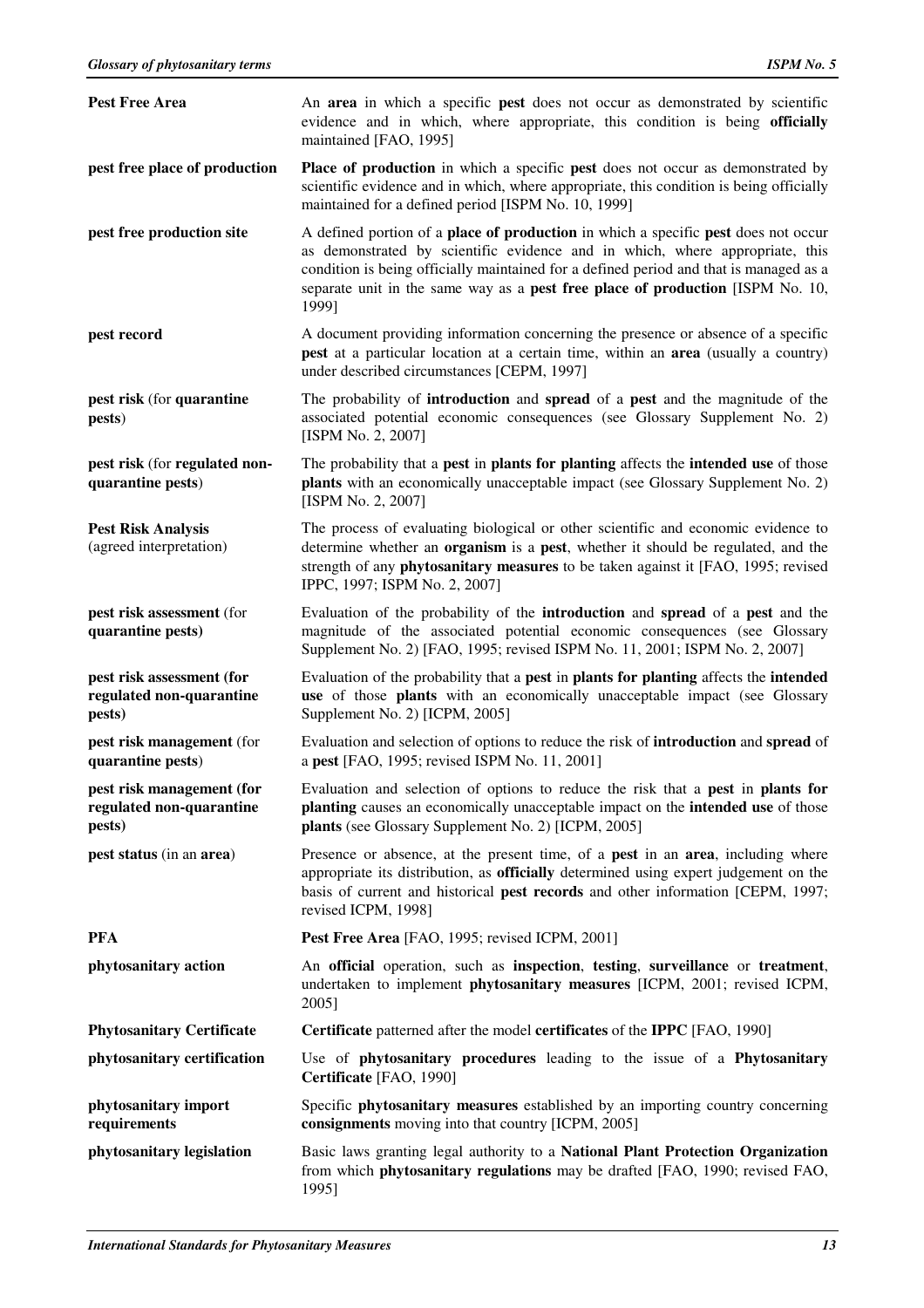| <b>Pest Free Area</b>                                           | An area in which a specific pest does not occur as demonstrated by scientific<br>evidence and in which, where appropriate, this condition is being officially<br>maintained [FAO, 1995]                                                                                                                                                                               |
|-----------------------------------------------------------------|-----------------------------------------------------------------------------------------------------------------------------------------------------------------------------------------------------------------------------------------------------------------------------------------------------------------------------------------------------------------------|
| pest free place of production                                   | <b>Place of production</b> in which a specific <b>pest</b> does not occur as demonstrated by<br>scientific evidence and in which, where appropriate, this condition is being officially<br>maintained for a defined period [ISPM No. 10, 1999]                                                                                                                        |
| pest free production site                                       | A defined portion of a <b>place of production</b> in which a specific <b>pest</b> does not occur<br>as demonstrated by scientific evidence and in which, where appropriate, this<br>condition is being officially maintained for a defined period and that is managed as a<br>separate unit in the same way as a pest free place of production [ISPM No. 10,<br>1999] |
| pest record                                                     | A document providing information concerning the presence or absence of a specific<br>pest at a particular location at a certain time, within an area (usually a country)<br>under described circumstances [CEPM, 1997]                                                                                                                                                |
| pest risk (for quarantine<br>pests)                             | The probability of <b>introduction</b> and <b>spread</b> of a <b>pest</b> and the magnitude of the<br>associated potential economic consequences (see Glossary Supplement No. 2)<br>[ISPM No. 2, 2007]                                                                                                                                                                |
| pest risk (for regulated non-<br>quarantine pests)              | The probability that a <b>pest</b> in <b>plants for planting</b> affects the <b>intended use</b> of those<br>plants with an economically unacceptable impact (see Glossary Supplement No. 2)<br>[ISPM No. 2, 2007]                                                                                                                                                    |
| <b>Pest Risk Analysis</b><br>(agreed interpretation)            | The process of evaluating biological or other scientific and economic evidence to<br>determine whether an organism is a pest, whether it should be regulated, and the<br>strength of any phytosanitary measures to be taken against it [FAO, 1995; revised<br>IPPC, 1997; ISPM No. 2, 2007]                                                                           |
| pest risk assessment (for<br>quarantine pests)                  | Evaluation of the probability of the <b>introduction</b> and <b>spread</b> of a <b>pest</b> and the<br>magnitude of the associated potential economic consequences (see Glossary<br>Supplement No. 2) [FAO, 1995; revised ISPM No. 11, 2001; ISPM No. 2, 2007]                                                                                                        |
| pest risk assessment (for<br>regulated non-quarantine<br>pests) | Evaluation of the probability that a pest in plants for planting affects the intended<br>use of those plants with an economically unacceptable impact (see Glossary<br>Supplement No. 2) [ICPM, 2005]                                                                                                                                                                 |
| pest risk management (for<br>quarantine pests)                  | Evaluation and selection of options to reduce the risk of <b>introduction</b> and <b>spread</b> of<br>a pest [FAO, 1995; revised ISPM No. 11, 2001]                                                                                                                                                                                                                   |
| pest risk management (for<br>regulated non-quarantine<br>pests) | Evaluation and selection of options to reduce the risk that a pest in plants for<br>planting causes an economically unacceptable impact on the intended use of those<br>plants (see Glossary Supplement No. 2) [ICPM, 2005]                                                                                                                                           |
| pest status (in an area)                                        | Presence or absence, at the present time, of a <b>pest</b> in an <b>area</b> , including where<br>appropriate its distribution, as officially determined using expert judgement on the<br>basis of current and historical pest records and other information [CEPM, 1997;<br>revised ICPM, 1998]                                                                      |
| <b>PFA</b>                                                      | Pest Free Area [FAO, 1995; revised ICPM, 2001]                                                                                                                                                                                                                                                                                                                        |
| phytosanitary action                                            | An official operation, such as inspection, testing, surveillance or treatment,<br>undertaken to implement phytosanitary measures [ICPM, 2001; revised ICPM,<br>2005]                                                                                                                                                                                                  |
| <b>Phytosanitary Certificate</b>                                | Certificate patterned after the model certificates of the IPPC [FAO, 1990]                                                                                                                                                                                                                                                                                            |
| phytosanitary certification                                     | Use of phytosanitary procedures leading to the issue of a Phytosanitary<br>Certificate [FAO, 1990]                                                                                                                                                                                                                                                                    |
| phytosanitary import<br>requirements                            | Specific <b>phytosanitary measures</b> established by an importing country concerning<br>consignments moving into that country [ICPM, 2005]                                                                                                                                                                                                                           |
| phytosanitary legislation                                       | Basic laws granting legal authority to a National Plant Protection Organization<br>from which phytosanitary regulations may be drafted [FAO, 1990; revised FAO,<br>1995]                                                                                                                                                                                              |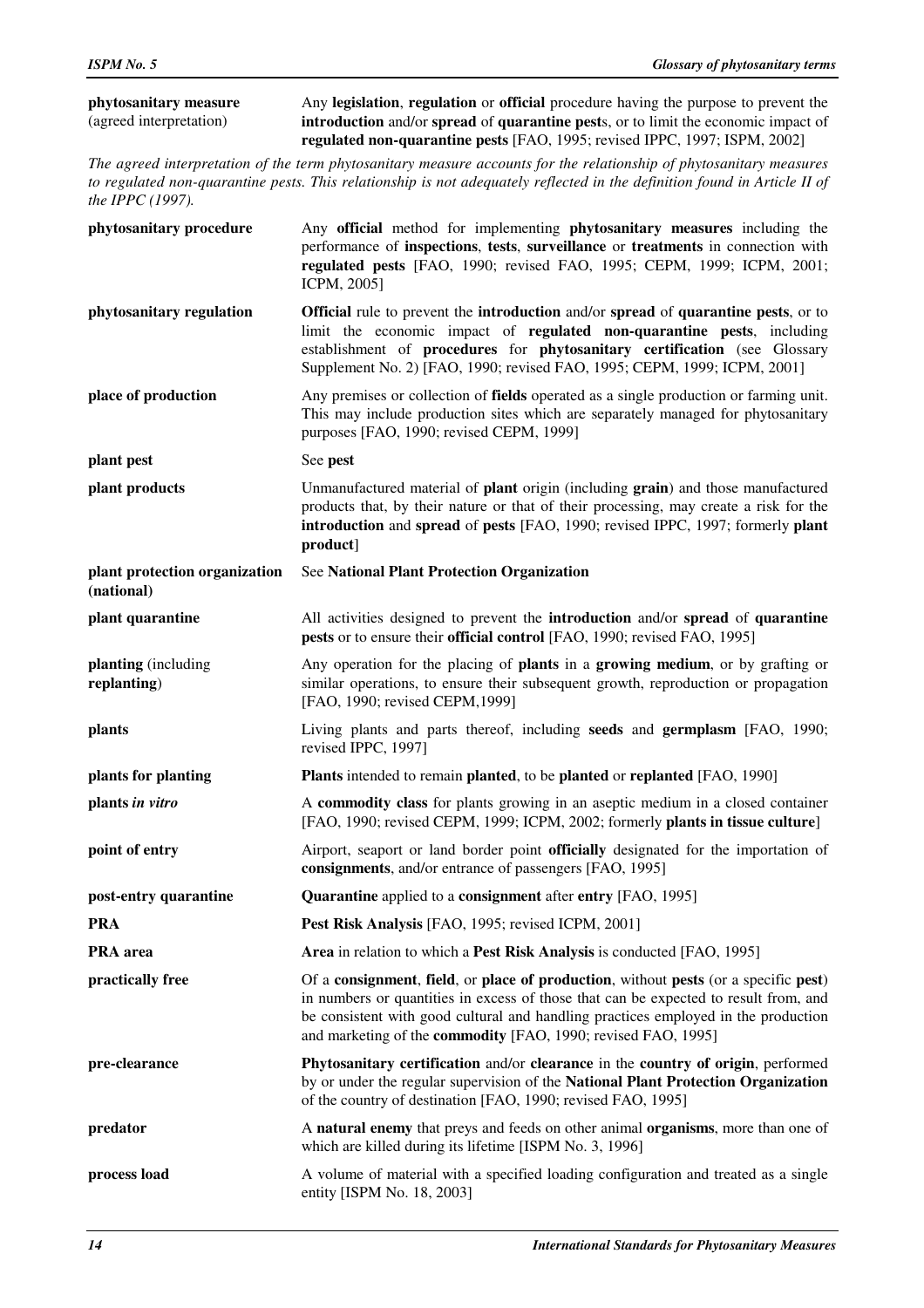| phytosanitary measure   | Any legislation, regulation or official procedure having the purpose to prevent the                     |
|-------------------------|---------------------------------------------------------------------------------------------------------|
| (agreed interpretation) | <b>introduction</b> and/or <b>spread</b> of <b>quarantine</b> pests, or to limit the economic impact of |
|                         | regulated non-quarantine pests [FAO, 1995; revised IPPC, 1997; ISPM, 2002]                              |

*The agreed interpretation of the term phytosanitary measure accounts for the relationship of phytosanitary measures to regulated non-quarantine pests. This relationship is not adequately reflected in the definition found in Article II of the IPPC (1997).* 

| phytosanitary procedure                     | Any official method for implementing phytosanitary measures including the<br>performance of inspections, tests, surveillance or treatments in connection with<br>regulated pests [FAO, 1990; revised FAO, 1995; CEPM, 1999; ICPM, 2001;<br>ICPM, 2005]                                                                                            |
|---------------------------------------------|---------------------------------------------------------------------------------------------------------------------------------------------------------------------------------------------------------------------------------------------------------------------------------------------------------------------------------------------------|
| phytosanitary regulation                    | <b>Official</b> rule to prevent the <b>introduction</b> and/or <b>spread</b> of <b>quarantine</b> pests, or to<br>limit the economic impact of regulated non-quarantine pests, including<br>establishment of procedures for phytosanitary certification (see Glossary<br>Supplement No. 2) [FAO, 1990; revised FAO, 1995; CEPM, 1999; ICPM, 2001] |
| place of production                         | Any premises or collection of <b>fields</b> operated as a single production or farming unit.<br>This may include production sites which are separately managed for phytosanitary<br>purposes [FAO, 1990; revised CEPM, 1999]                                                                                                                      |
| plant pest                                  | See pest                                                                                                                                                                                                                                                                                                                                          |
| plant products                              | Unmanufactured material of <b>plant</b> origin (including grain) and those manufactured<br>products that, by their nature or that of their processing, may create a risk for the<br>introduction and spread of pests [FAO, 1990; revised IPPC, 1997; formerly plant<br>product]                                                                   |
| plant protection organization<br>(national) | <b>See National Plant Protection Organization</b>                                                                                                                                                                                                                                                                                                 |
| plant quarantine                            | All activities designed to prevent the <b>introduction</b> and/or <b>spread</b> of <b>quarantine</b><br>pests or to ensure their official control [FAO, 1990; revised FAO, 1995]                                                                                                                                                                  |
| planting (including<br>replanting)          | Any operation for the placing of <b>plants</b> in a <b>growing medium</b> , or by grafting or<br>similar operations, to ensure their subsequent growth, reproduction or propagation<br>[FAO, 1990; revised CEPM, 1999]                                                                                                                            |
| plants                                      | Living plants and parts thereof, including seeds and germplasm [FAO, 1990;<br>revised IPPC, 1997]                                                                                                                                                                                                                                                 |
| plants for planting                         | Plants intended to remain planted, to be planted or replanted [FAO, 1990]                                                                                                                                                                                                                                                                         |
| plants in vitro                             | A commodity class for plants growing in an aseptic medium in a closed container<br>[FAO, 1990; revised CEPM, 1999; ICPM, 2002; formerly plants in tissue culture]                                                                                                                                                                                 |
| point of entry                              | Airport, seaport or land border point officially designated for the importation of<br>consignments, and/or entrance of passengers [FAO, 1995]                                                                                                                                                                                                     |
| post-entry quarantine                       | <b>Quarantine</b> applied to a <b>consignment</b> after <b>entry</b> [FAO, 1995]                                                                                                                                                                                                                                                                  |
| <b>PRA</b>                                  | Pest Risk Analysis [FAO, 1995; revised ICPM, 2001]                                                                                                                                                                                                                                                                                                |
| PRA area                                    | Area in relation to which a Pest Risk Analysis is conducted [FAO, 1995]                                                                                                                                                                                                                                                                           |
| practically free                            | Of a consignment, field, or place of production, without pests (or a specific pest)<br>in numbers or quantities in excess of those that can be expected to result from, and<br>be consistent with good cultural and handling practices employed in the production<br>and marketing of the commodity [FAO, 1990; revised FAO, 1995]                |
| pre-clearance                               | Phytosanitary certification and/or clearance in the country of origin, performed<br>by or under the regular supervision of the National Plant Protection Organization<br>of the country of destination [FAO, 1990; revised FAO, 1995]                                                                                                             |
| predator                                    | A natural enemy that preys and feeds on other animal organisms, more than one of<br>which are killed during its lifetime [ISPM No. 3, 1996]                                                                                                                                                                                                       |
| process load                                | A volume of material with a specified loading configuration and treated as a single<br>entity [ISPM No. 18, 2003]                                                                                                                                                                                                                                 |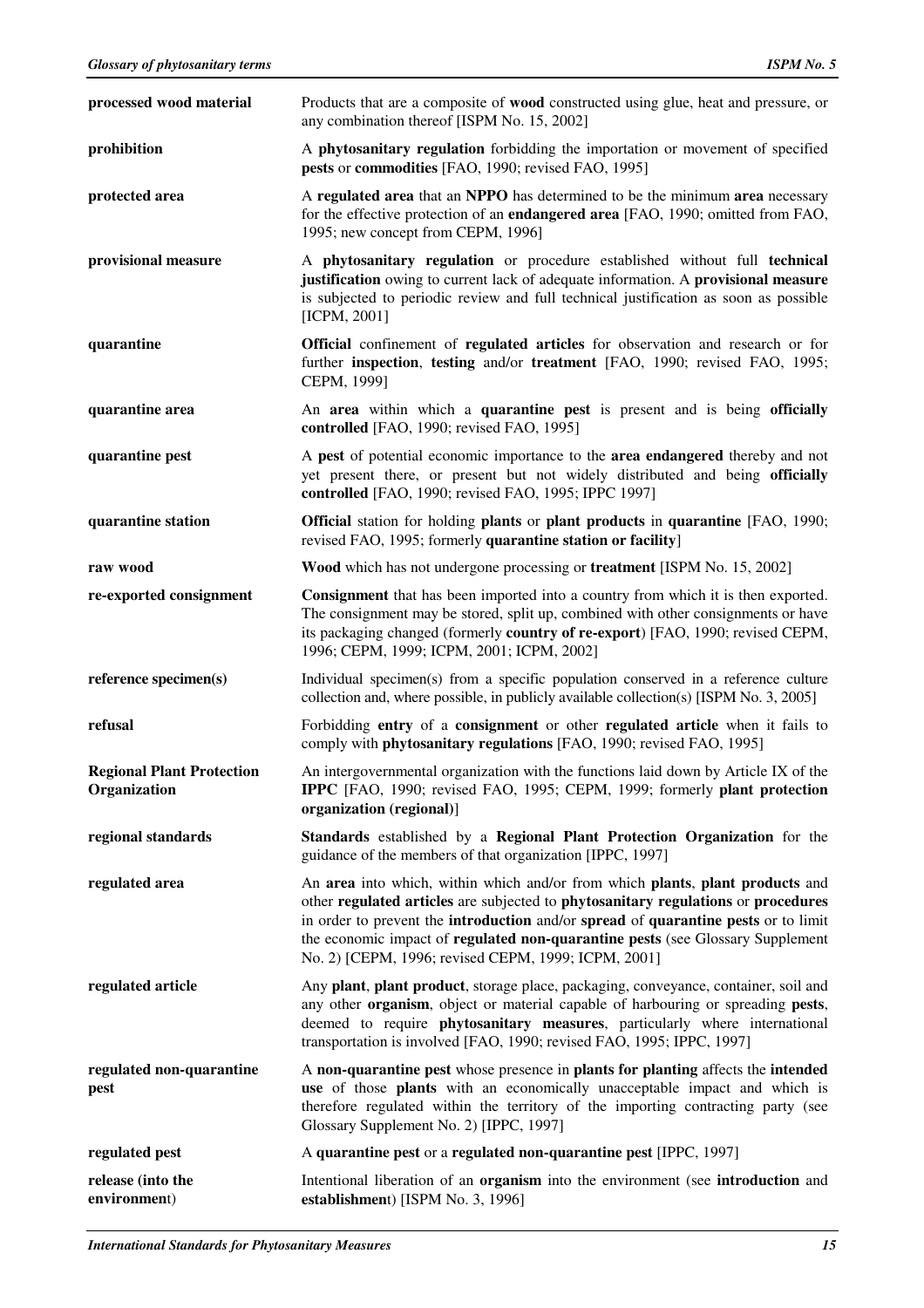| processed wood material                          | Products that are a composite of wood constructed using glue, heat and pressure, or<br>any combination thereof [ISPM No. 15, 2002]                                                                                                                                                                                                                                                                       |
|--------------------------------------------------|----------------------------------------------------------------------------------------------------------------------------------------------------------------------------------------------------------------------------------------------------------------------------------------------------------------------------------------------------------------------------------------------------------|
| prohibition                                      | A phytosanitary regulation forbidding the importation or movement of specified<br>pests or commodities [FAO, 1990; revised FAO, 1995]                                                                                                                                                                                                                                                                    |
| protected area                                   | A regulated area that an NPPO has determined to be the minimum area necessary<br>for the effective protection of an endangered area [FAO, 1990; omitted from FAO,<br>1995; new concept from CEPM, 1996]                                                                                                                                                                                                  |
| provisional measure                              | A phytosanitary regulation or procedure established without full technical<br>justification owing to current lack of adequate information. A provisional measure<br>is subjected to periodic review and full technical justification as soon as possible<br>[ICPM, 2001]                                                                                                                                 |
| quarantine                                       | <b>Official</b> confinement of <b>regulated articles</b> for observation and research or for<br>further inspection, testing and/or treatment [FAO, 1990; revised FAO, 1995;<br>CEPM, 1999]                                                                                                                                                                                                               |
| quarantine area                                  | An area within which a quarantine pest is present and is being officially<br>controlled [FAO, 1990; revised FAO, 1995]                                                                                                                                                                                                                                                                                   |
| quarantine pest                                  | A pest of potential economic importance to the area endangered thereby and not<br>yet present there, or present but not widely distributed and being officially<br>controlled [FAO, 1990; revised FAO, 1995; IPPC 1997]                                                                                                                                                                                  |
| quarantine station                               | <b>Official</b> station for holding <b>plants</b> or <b>plant products</b> in <b>quarantine</b> [FAO, 1990;<br>revised FAO, 1995; formerly quarantine station or facility]                                                                                                                                                                                                                               |
| raw wood                                         | Wood which has not undergone processing or treatment [ISPM No. 15, 2002]                                                                                                                                                                                                                                                                                                                                 |
| re-exported consignment                          | <b>Consignment</b> that has been imported into a country from which it is then exported.<br>The consignment may be stored, split up, combined with other consignments or have<br>its packaging changed (formerly country of re-export) [FAO, 1990; revised CEPM,<br>1996; CEPM, 1999; ICPM, 2001; ICPM, 2002]                                                                                            |
| reference specimen(s)                            | Individual specimen(s) from a specific population conserved in a reference culture<br>collection and, where possible, in publicly available collection(s) [ISPM No. 3, 2005]                                                                                                                                                                                                                             |
| refusal                                          | Forbidding entry of a consignment or other regulated article when it fails to<br>comply with phytosanitary regulations [FAO, 1990; revised FAO, 1995]                                                                                                                                                                                                                                                    |
| <b>Regional Plant Protection</b><br>Organization | An intergovernmental organization with the functions laid down by Article IX of the<br>IPPC [FAO, 1990; revised FAO, 1995; CEPM, 1999; formerly plant protection<br>organization (regional)]                                                                                                                                                                                                             |
| regional standards                               | Standards established by a Regional Plant Protection Organization for the<br>guidance of the members of that organization [IPPC, 1997]                                                                                                                                                                                                                                                                   |
| regulated area                                   | An area into which, within which and/or from which plants, plant products and<br>other regulated articles are subjected to phytosanitary regulations or procedures<br>in order to prevent the introduction and/or spread of quarantine pests or to limit<br>the economic impact of <b>regulated non-quarantine pests</b> (see Glossary Supplement<br>No. 2) [CEPM, 1996; revised CEPM, 1999; ICPM, 2001] |
| regulated article                                | Any plant, plant product, storage place, packaging, conveyance, container, soil and<br>any other organism, object or material capable of harbouring or spreading pests,<br>deemed to require phytosanitary measures, particularly where international<br>transportation is involved [FAO, 1990; revised FAO, 1995; IPPC, 1997]                                                                           |
| regulated non-quarantine<br>pest                 | A non-quarantine pest whose presence in plants for planting affects the intended<br>use of those plants with an economically unacceptable impact and which is<br>therefore regulated within the territory of the importing contracting party (see<br>Glossary Supplement No. 2) [IPPC, 1997]                                                                                                             |
| regulated pest                                   | A quarantine pest or a regulated non-quarantine pest [IPPC, 1997]                                                                                                                                                                                                                                                                                                                                        |
| release (into the<br>environment)                | Intentional liberation of an <b>organism</b> into the environment (see <b>introduction</b> and<br>establishment) [ISPM No. 3, 1996]                                                                                                                                                                                                                                                                      |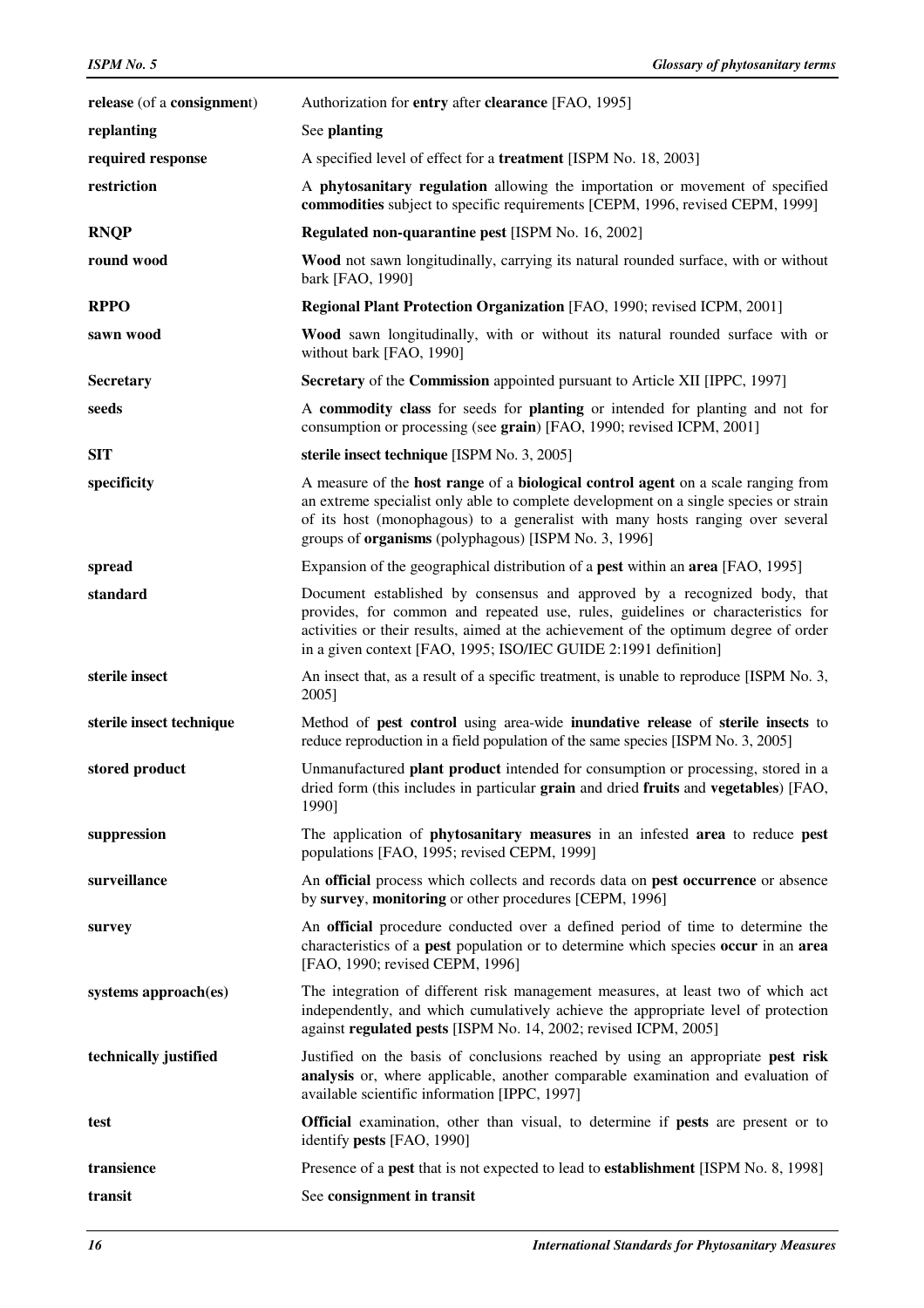| release (of a consignment) | Authorization for entry after clearance [FAO, 1995]                                                                                                                                                                                                                                                                         |
|----------------------------|-----------------------------------------------------------------------------------------------------------------------------------------------------------------------------------------------------------------------------------------------------------------------------------------------------------------------------|
| replanting                 | See planting                                                                                                                                                                                                                                                                                                                |
| required response          | A specified level of effect for a <b>treatment</b> [ISPM No. 18, 2003]                                                                                                                                                                                                                                                      |
| restriction                | A phytosanitary regulation allowing the importation or movement of specified<br>commodities subject to specific requirements [CEPM, 1996, revised CEPM, 1999]                                                                                                                                                               |
| <b>RNQP</b>                | Regulated non-quarantine pest [ISPM No. 16, 2002]                                                                                                                                                                                                                                                                           |
| round wood                 | Wood not sawn longitudinally, carrying its natural rounded surface, with or without<br>bark [FAO, 1990]                                                                                                                                                                                                                     |
| <b>RPPO</b>                | Regional Plant Protection Organization [FAO, 1990; revised ICPM, 2001]                                                                                                                                                                                                                                                      |
| sawn wood                  | Wood sawn longitudinally, with or without its natural rounded surface with or<br>without bark [FAO, 1990]                                                                                                                                                                                                                   |
| <b>Secretary</b>           | Secretary of the Commission appointed pursuant to Article XII [IPPC, 1997]                                                                                                                                                                                                                                                  |
| seeds                      | A commodity class for seeds for planting or intended for planting and not for<br>consumption or processing (see grain) [FAO, 1990; revised ICPM, 2001]                                                                                                                                                                      |
| <b>SIT</b>                 | sterile insect technique [ISPM No. 3, 2005]                                                                                                                                                                                                                                                                                 |
| specificity                | A measure of the host range of a biological control agent on a scale ranging from<br>an extreme specialist only able to complete development on a single species or strain<br>of its host (monophagous) to a generalist with many hosts ranging over several<br>groups of <b>organisms</b> (polyphagous) [ISPM No. 3, 1996] |
| spread                     | Expansion of the geographical distribution of a <b>pest</b> within an <b>area</b> [FAO, 1995]                                                                                                                                                                                                                               |
| standard                   | Document established by consensus and approved by a recognized body, that<br>provides, for common and repeated use, rules, guidelines or characteristics for<br>activities or their results, aimed at the achievement of the optimum degree of order<br>in a given context [FAO, 1995; ISO/IEC GUIDE 2:1991 definition]     |
| sterile insect             | An insect that, as a result of a specific treatment, is unable to reproduce [ISPM No. 3,<br>2005]                                                                                                                                                                                                                           |
| sterile insect technique   | Method of pest control using area-wide inundative release of sterile insects to<br>reduce reproduction in a field population of the same species [ISPM No. 3, 2005]                                                                                                                                                         |
| stored product             | Unmanufactured plant product intended for consumption or processing, stored in a<br>dried form (this includes in particular grain and dried fruits and vegetables) [FAO,<br>1990]                                                                                                                                           |
| suppression                | The application of <b>phytosanitary measures</b> in an infested <b>area</b> to reduce <b>pest</b><br>populations [FAO, 1995; revised CEPM, 1999]                                                                                                                                                                            |
| surveillance               | An official process which collects and records data on pest occurrence or absence<br>by survey, monitoring or other procedures [CEPM, 1996]                                                                                                                                                                                 |
| survey                     | An official procedure conducted over a defined period of time to determine the<br>characteristics of a <b>pest</b> population or to determine which species <b>occur</b> in an <b>area</b><br>[FAO, 1990; revised CEPM, 1996]                                                                                               |
| systems approach(es)       | The integration of different risk management measures, at least two of which act<br>independently, and which cumulatively achieve the appropriate level of protection<br>against regulated pests [ISPM No. 14, 2002; revised ICPM, 2005]                                                                                    |
| technically justified      | Justified on the basis of conclusions reached by using an appropriate pest risk<br>analysis or, where applicable, another comparable examination and evaluation of<br>available scientific information [IPPC, 1997]                                                                                                         |
| test                       | Official examination, other than visual, to determine if pests are present or to<br>identify pests [FAO, 1990]                                                                                                                                                                                                              |
| transience                 | Presence of a pest that is not expected to lead to establishment [ISPM No. 8, 1998]                                                                                                                                                                                                                                         |
| transit                    | See consignment in transit                                                                                                                                                                                                                                                                                                  |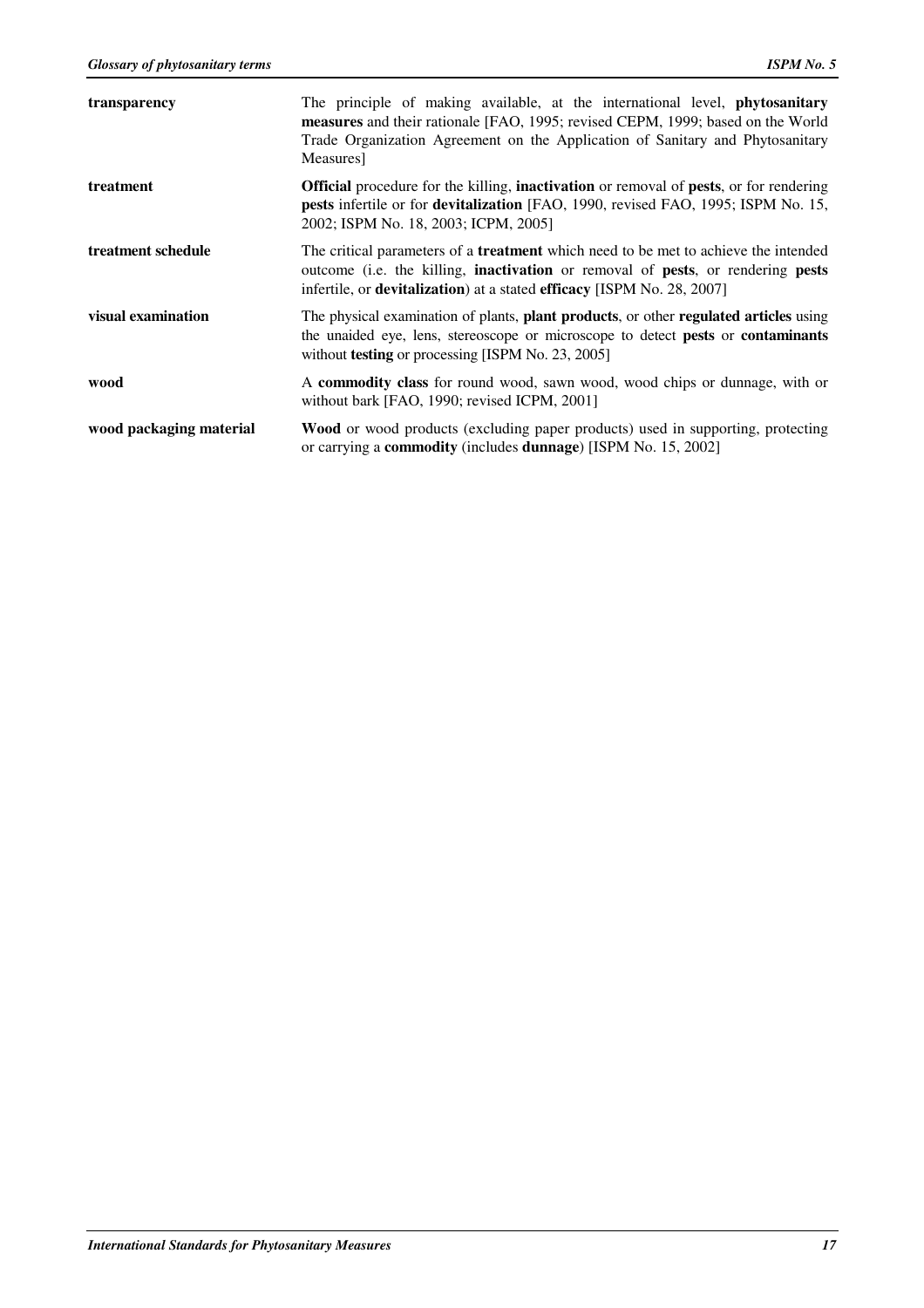| transparency            | The principle of making available, at the international level, <b>phytosanitary</b><br>measures and their rationale [FAO, 1995; revised CEPM, 1999; based on the World<br>Trade Organization Agreement on the Application of Sanitary and Phytosanitary<br>Measures]                         |
|-------------------------|----------------------------------------------------------------------------------------------------------------------------------------------------------------------------------------------------------------------------------------------------------------------------------------------|
| treatment               | <b>Official</b> procedure for the killing, <b>inactivation</b> or removal of <b>pests</b> , or for rendering<br><b>pests</b> infertile or for <b>devitalization</b> [FAO, 1990, revised FAO, 1995; ISPM No. 15,<br>2002; ISPM No. 18, 2003; ICPM, 2005]                                      |
| treatment schedule      | The critical parameters of a <b>treatment</b> which need to be met to achieve the intended<br>outcome (i.e. the killing, <b>inactivation</b> or removal of <b>pests</b> , or rendering <b>pests</b><br>infertile, or <b>devitalization</b> ) at a stated <b>efficacy</b> [ISPM No. 28, 2007] |
| visual examination      | The physical examination of plants, <b>plant products</b> , or other <b>regulated articles</b> using<br>the unaided eye, lens, stereoscope or microscope to detect <b>pests</b> or <b>contaminants</b><br>without <b>testing</b> or processing [ISPM No. 23, 2005]                           |
| wood                    | A commodity class for round wood, sawn wood, wood chips or dunnage, with or<br>without bark [FAO, 1990; revised ICPM, 2001]                                                                                                                                                                  |
| wood packaging material | <b>Wood</b> or wood products (excluding paper products) used in supporting, protecting<br>or carrying a <b>commodity</b> (includes <b>dunnage</b> ) [ISPM No. 15, 2002]                                                                                                                      |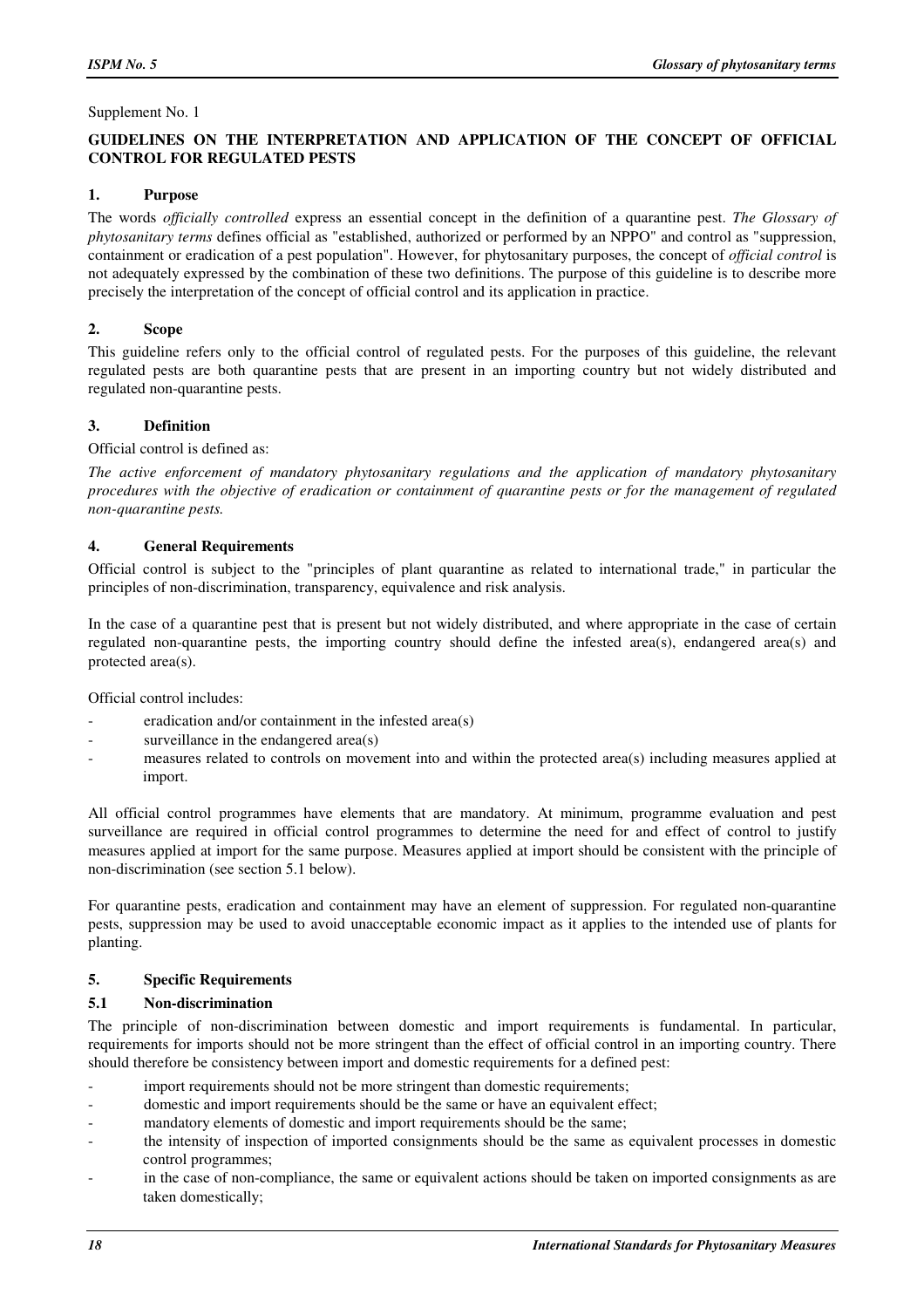#### Supplement No. 1

#### **GUIDELINES ON THE INTERPRETATION AND APPLICATION OF THE CONCEPT OF OFFICIAL CONTROL FOR REGULATED PESTS**

#### **1. Purpose**

The words *officially controlled* express an essential concept in the definition of a quarantine pest. *The Glossary of phytosanitary terms* defines official as "established, authorized or performed by an NPPO" and control as "suppression, containment or eradication of a pest population". However, for phytosanitary purposes, the concept of *official control* is not adequately expressed by the combination of these two definitions. The purpose of this guideline is to describe more precisely the interpretation of the concept of official control and its application in practice.

#### **2. Scope**

This guideline refers only to the official control of regulated pests. For the purposes of this guideline, the relevant regulated pests are both quarantine pests that are present in an importing country but not widely distributed and regulated non-quarantine pests.

#### **3. Definition**

Official control is defined as:

*The active enforcement of mandatory phytosanitary regulations and the application of mandatory phytosanitary procedures with the objective of eradication or containment of quarantine pests or for the management of regulated non-quarantine pests.* 

#### **4. General Requirements**

Official control is subject to the "principles of plant quarantine as related to international trade," in particular the principles of non-discrimination, transparency, equivalence and risk analysis.

In the case of a quarantine pest that is present but not widely distributed, and where appropriate in the case of certain regulated non-quarantine pests, the importing country should define the infested area(s), endangered area(s) and protected area(s).

Official control includes:

- eradication and/or containment in the infested area(s)
- surveillance in the endangered  $area(s)$
- measures related to controls on movement into and within the protected area(s) including measures applied at import.

All official control programmes have elements that are mandatory. At minimum, programme evaluation and pest surveillance are required in official control programmes to determine the need for and effect of control to justify measures applied at import for the same purpose. Measures applied at import should be consistent with the principle of non-discrimination (see section 5.1 below).

For quarantine pests, eradication and containment may have an element of suppression. For regulated non-quarantine pests, suppression may be used to avoid unacceptable economic impact as it applies to the intended use of plants for planting.

# **5. Specific Requirements**

#### **5.1 Non-discrimination**

The principle of non-discrimination between domestic and import requirements is fundamental. In particular, requirements for imports should not be more stringent than the effect of official control in an importing country. There should therefore be consistency between import and domestic requirements for a defined pest:

- import requirements should not be more stringent than domestic requirements;
- domestic and import requirements should be the same or have an equivalent effect;
- mandatory elements of domestic and import requirements should be the same;
- the intensity of inspection of imported consignments should be the same as equivalent processes in domestic control programmes;
- in the case of non-compliance, the same or equivalent actions should be taken on imported consignments as are taken domestically;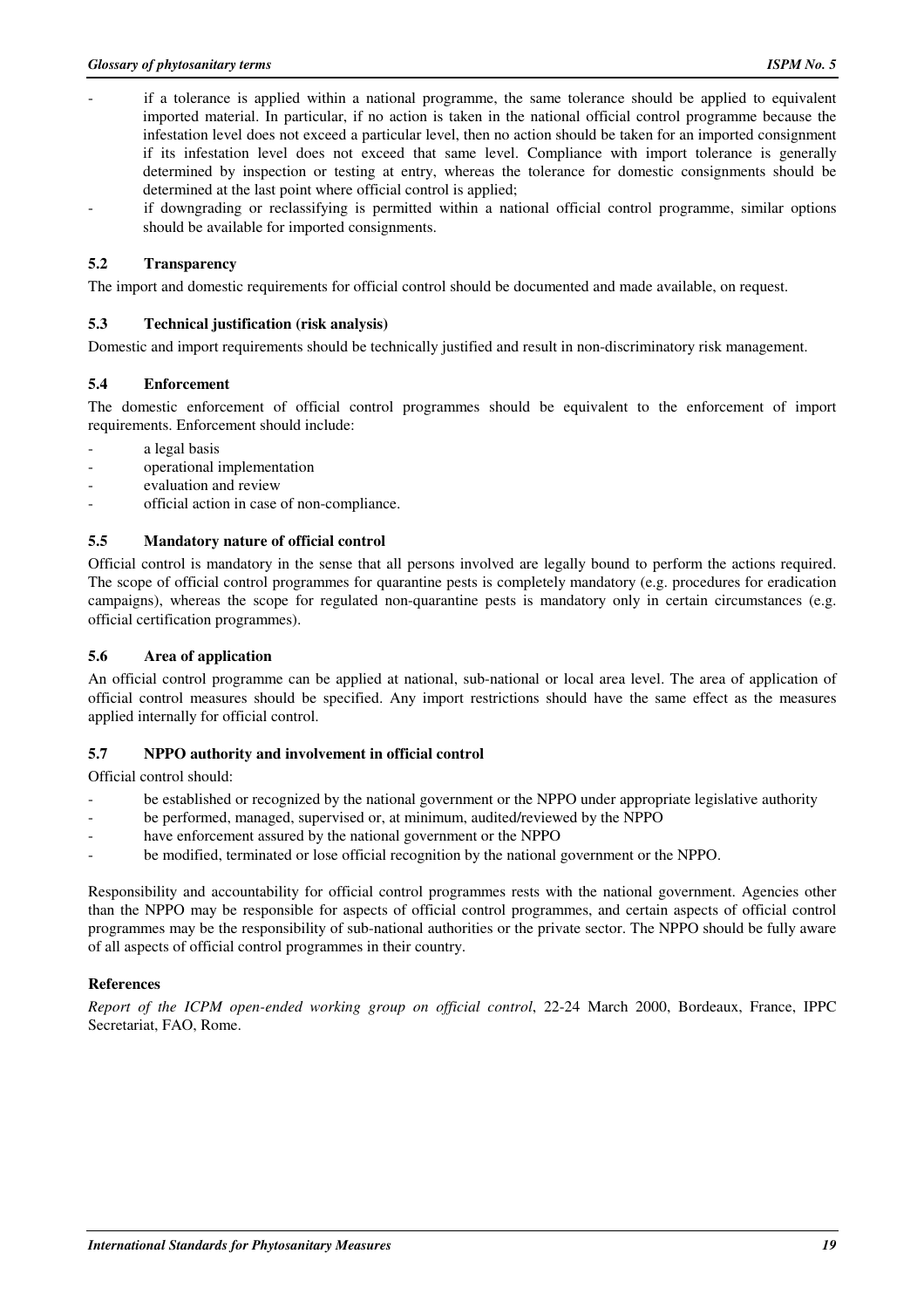- if a tolerance is applied within a national programme, the same tolerance should be applied to equivalent imported material. In particular, if no action is taken in the national official control programme because the infestation level does not exceed a particular level, then no action should be taken for an imported consignment if its infestation level does not exceed that same level. Compliance with import tolerance is generally determined by inspection or testing at entry, whereas the tolerance for domestic consignments should be determined at the last point where official control is applied;
- if downgrading or reclassifying is permitted within a national official control programme, similar options should be available for imported consignments.

#### **5.2 Transparency**

The import and domestic requirements for official control should be documented and made available, on request.

#### **5.3 Technical justification (risk analysis)**

Domestic and import requirements should be technically justified and result in non-discriminatory risk management.

#### **5.4 Enforcement**

The domestic enforcement of official control programmes should be equivalent to the enforcement of import requirements. Enforcement should include:

- a legal basis
- operational implementation
- evaluation and review
- official action in case of non-compliance.

#### **5.5 Mandatory nature of official control**

Official control is mandatory in the sense that all persons involved are legally bound to perform the actions required. The scope of official control programmes for quarantine pests is completely mandatory (e.g. procedures for eradication campaigns), whereas the scope for regulated non-quarantine pests is mandatory only in certain circumstances (e.g. official certification programmes).

#### **5.6 Area of application**

An official control programme can be applied at national, sub-national or local area level. The area of application of official control measures should be specified. Any import restrictions should have the same effect as the measures applied internally for official control.

#### **5.7 NPPO authority and involvement in official control**

Official control should:

- be established or recognized by the national government or the NPPO under appropriate legislative authority
- be performed, managed, supervised or, at minimum, audited/reviewed by the NPPO
- have enforcement assured by the national government or the NPPO
- be modified, terminated or lose official recognition by the national government or the NPPO.

Responsibility and accountability for official control programmes rests with the national government. Agencies other than the NPPO may be responsible for aspects of official control programmes, and certain aspects of official control programmes may be the responsibility of sub-national authorities or the private sector. The NPPO should be fully aware of all aspects of official control programmes in their country.

#### **References**

*Report of the ICPM open-ended working group on official control*, 22-24 March 2000, Bordeaux, France, IPPC Secretariat, FAO, Rome.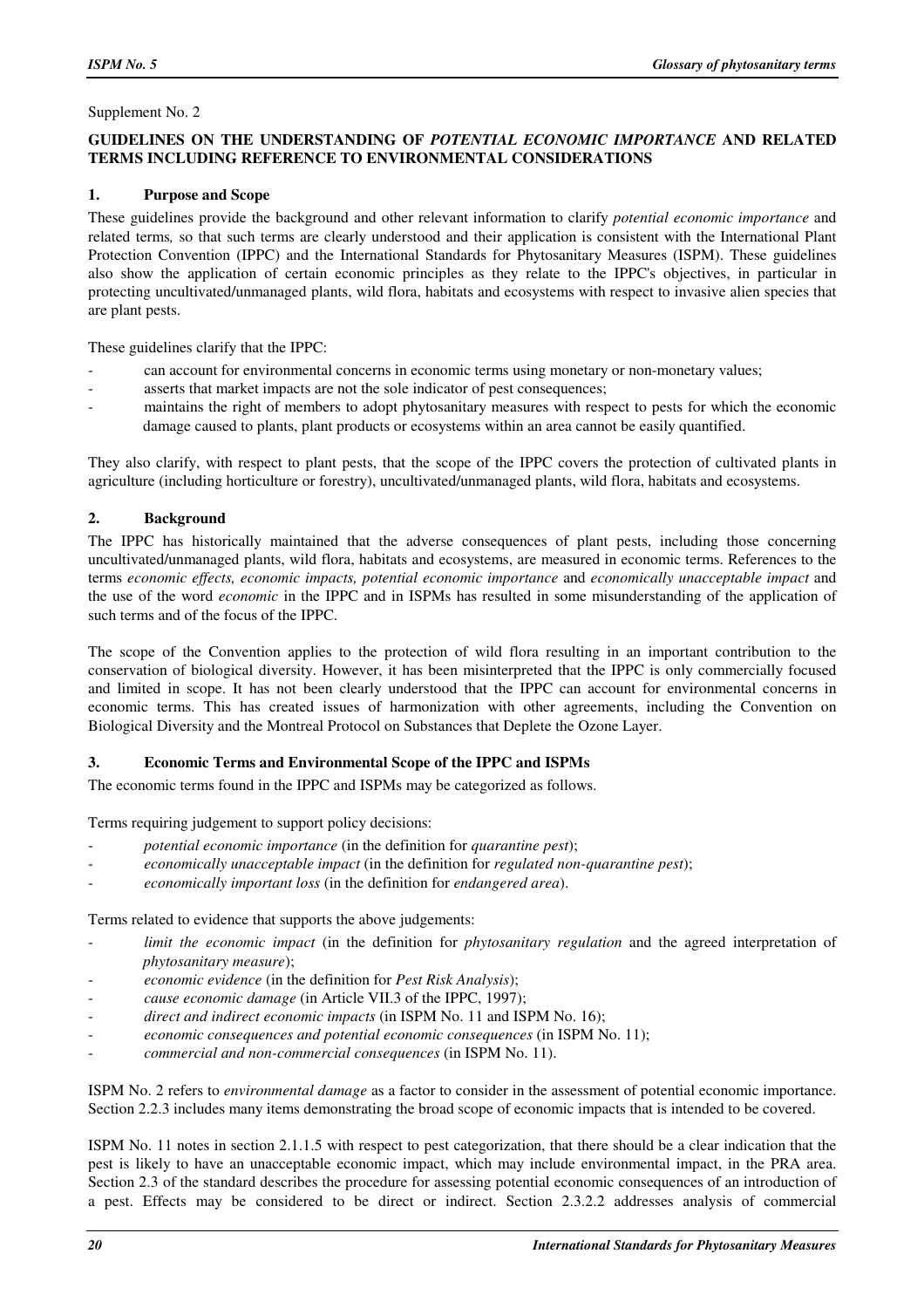#### Supplement No. 2

#### **GUIDELINES ON THE UNDERSTANDING OF** *POTENTIAL ECONOMIC IMPORTANCE* **AND RELATED TERMS INCLUDING REFERENCE TO ENVIRONMENTAL CONSIDERATIONS**

#### **1. Purpose and Scope**

These guidelines provide the background and other relevant information to clarify *potential economic importance* and related terms*,* so that such terms are clearly understood and their application is consistent with the International Plant Protection Convention (IPPC) and the International Standards for Phytosanitary Measures (ISPM). These guidelines also show the application of certain economic principles as they relate to the IPPC's objectives, in particular in protecting uncultivated/unmanaged plants, wild flora, habitats and ecosystems with respect to invasive alien species that are plant pests.

These guidelines clarify that the IPPC:

- can account for environmental concerns in economic terms using monetary or non-monetary values;
- asserts that market impacts are not the sole indicator of pest consequences;
- maintains the right of members to adopt phytosanitary measures with respect to pests for which the economic damage caused to plants, plant products or ecosystems within an area cannot be easily quantified.

They also clarify, with respect to plant pests, that the scope of the IPPC covers the protection of cultivated plants in agriculture (including horticulture or forestry), uncultivated/unmanaged plants, wild flora, habitats and ecosystems.

# **2. Background**

The IPPC has historically maintained that the adverse consequences of plant pests, including those concerning uncultivated/unmanaged plants, wild flora, habitats and ecosystems, are measured in economic terms. References to the terms *economic effects, economic impacts, potential economic importance* and *economically unacceptable impact* and the use of the word *economic* in the IPPC and in ISPMs has resulted in some misunderstanding of the application of such terms and of the focus of the IPPC.

The scope of the Convention applies to the protection of wild flora resulting in an important contribution to the conservation of biological diversity. However, it has been misinterpreted that the IPPC is only commercially focused and limited in scope. It has not been clearly understood that the IPPC can account for environmental concerns in economic terms. This has created issues of harmonization with other agreements, including the Convention on Biological Diversity and the Montreal Protocol on Substances that Deplete the Ozone Layer.

# **3. Economic Terms and Environmental Scope of the IPPC and ISPMs**

The economic terms found in the IPPC and ISPMs may be categorized as follows.

Terms requiring judgement to support policy decisions:

- *potential economic importance* (in the definition for *quarantine pest*);
- *economically unacceptable impact* (in the definition for *regulated non-quarantine pest*);
- *economically important loss* (in the definition for *endangered area*).

Terms related to evidence that supports the above judgements:

- limit the economic impact (in the definition for *phytosanitary regulation* and the agreed interpretation of *phytosanitary measure*);
- *economic evidence* (in the definition for *Pest Risk Analysis*);
- *cause economic damage* (in Article VII.3 of the IPPC, 1997);
- direct and indirect economic impacts (in ISPM No. 11 and ISPM No. 16);
- *economic consequences and potential economic consequences* (in ISPM No. 11);
- *commercial and non-commercial consequences* (in ISPM No. 11).

ISPM No. 2 refers to *environmental damage* as a factor to consider in the assessment of potential economic importance. Section 2.2.3 includes many items demonstrating the broad scope of economic impacts that is intended to be covered.

ISPM No. 11 notes in section 2.1.1.5 with respect to pest categorization, that there should be a clear indication that the pest is likely to have an unacceptable economic impact, which may include environmental impact, in the PRA area. Section 2.3 of the standard describes the procedure for assessing potential economic consequences of an introduction of a pest. Effects may be considered to be direct or indirect. Section 2.3.2.2 addresses analysis of commercial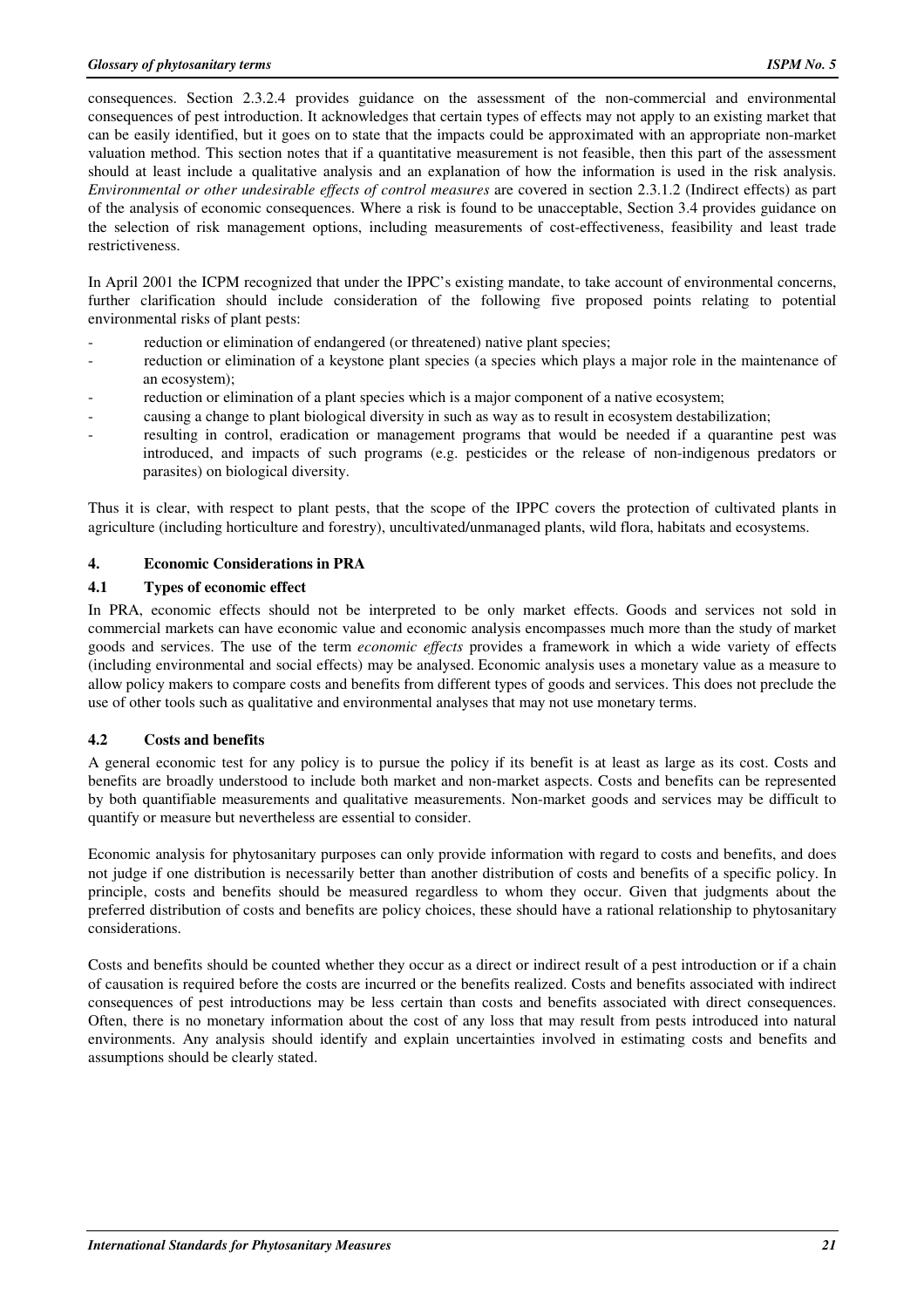consequences. Section 2.3.2.4 provides guidance on the assessment of the non-commercial and environmental consequences of pest introduction. It acknowledges that certain types of effects may not apply to an existing market that can be easily identified, but it goes on to state that the impacts could be approximated with an appropriate non-market valuation method. This section notes that if a quantitative measurement is not feasible, then this part of the assessment should at least include a qualitative analysis and an explanation of how the information is used in the risk analysis. *Environmental or other undesirable effects of control measures* are covered in section 2.3.1.2 (Indirect effects) as part of the analysis of economic consequences. Where a risk is found to be unacceptable, Section 3.4 provides guidance on the selection of risk management options, including measurements of cost-effectiveness, feasibility and least trade restrictiveness.

In April 2001 the ICPM recognized that under the IPPC's existing mandate, to take account of environmental concerns, further clarification should include consideration of the following five proposed points relating to potential environmental risks of plant pests:

- reduction or elimination of endangered (or threatened) native plant species;
- reduction or elimination of a keystone plant species (a species which plays a major role in the maintenance of an ecosystem);
- reduction or elimination of a plant species which is a major component of a native ecosystem;
- causing a change to plant biological diversity in such as way as to result in ecosystem destabilization;
- resulting in control, eradication or management programs that would be needed if a quarantine pest was introduced, and impacts of such programs (e.g. pesticides or the release of non-indigenous predators or parasites) on biological diversity.

Thus it is clear, with respect to plant pests, that the scope of the IPPC covers the protection of cultivated plants in agriculture (including horticulture and forestry), uncultivated/unmanaged plants, wild flora, habitats and ecosystems.

#### **4. Economic Considerations in PRA**

#### **4.1 Types of economic effect**

In PRA, economic effects should not be interpreted to be only market effects. Goods and services not sold in commercial markets can have economic value and economic analysis encompasses much more than the study of market goods and services. The use of the term *economic effects* provides a framework in which a wide variety of effects (including environmental and social effects) may be analysed. Economic analysis uses a monetary value as a measure to allow policy makers to compare costs and benefits from different types of goods and services. This does not preclude the use of other tools such as qualitative and environmental analyses that may not use monetary terms.

#### **4.2 Costs and benefits**

A general economic test for any policy is to pursue the policy if its benefit is at least as large as its cost. Costs and benefits are broadly understood to include both market and non-market aspects. Costs and benefits can be represented by both quantifiable measurements and qualitative measurements. Non-market goods and services may be difficult to quantify or measure but nevertheless are essential to consider.

Economic analysis for phytosanitary purposes can only provide information with regard to costs and benefits, and does not judge if one distribution is necessarily better than another distribution of costs and benefits of a specific policy. In principle, costs and benefits should be measured regardless to whom they occur. Given that judgments about the preferred distribution of costs and benefits are policy choices, these should have a rational relationship to phytosanitary considerations.

Costs and benefits should be counted whether they occur as a direct or indirect result of a pest introduction or if a chain of causation is required before the costs are incurred or the benefits realized. Costs and benefits associated with indirect consequences of pest introductions may be less certain than costs and benefits associated with direct consequences. Often, there is no monetary information about the cost of any loss that may result from pests introduced into natural environments. Any analysis should identify and explain uncertainties involved in estimating costs and benefits and assumptions should be clearly stated.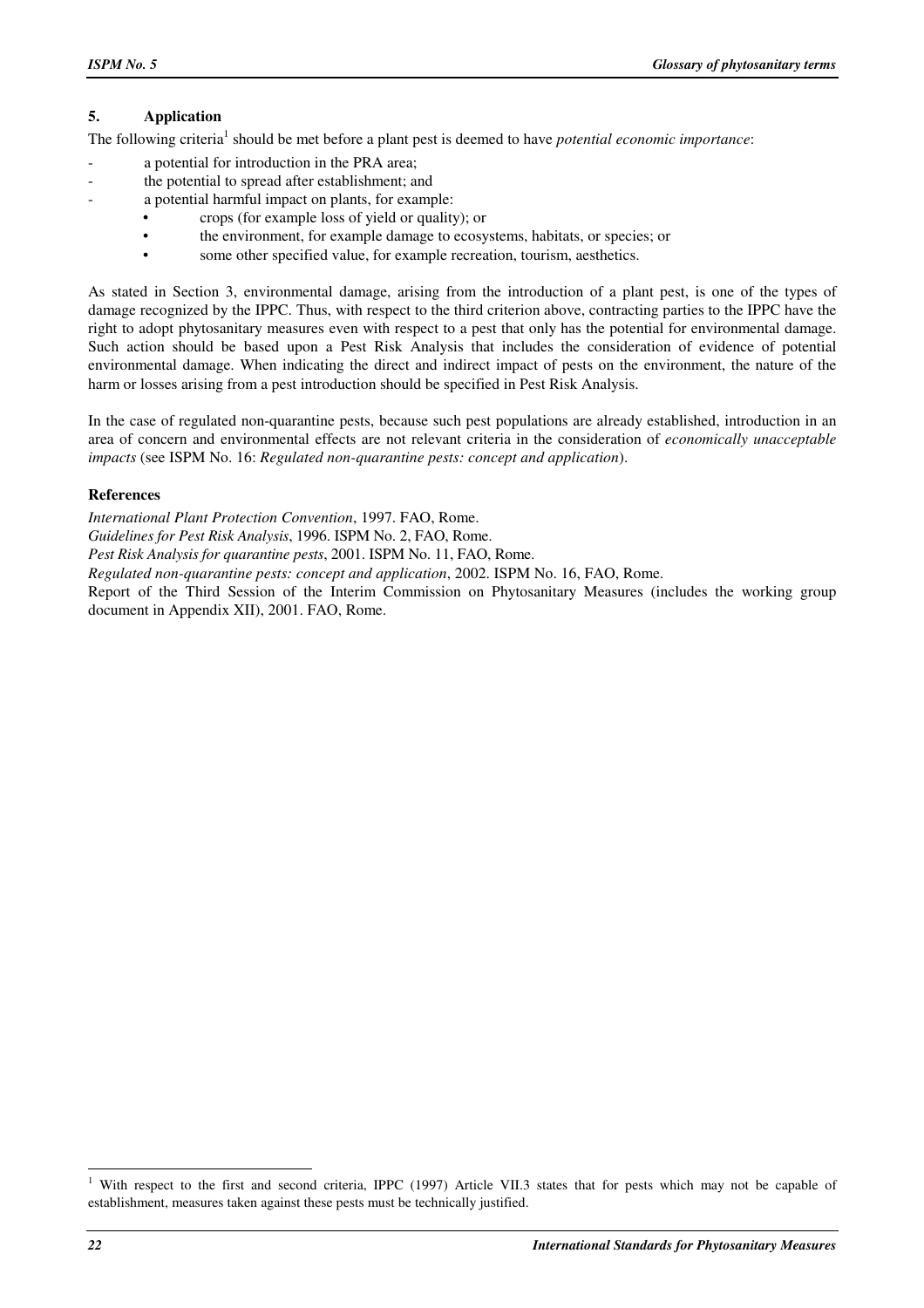#### **5. Application**

The following criteria<sup>1</sup> should be met before a plant pest is deemed to have *potential economic importance*:

- a potential for introduction in the PRA area;
- the potential to spread after establishment; and
- a potential harmful impact on plants, for example:
	- crops (for example loss of yield or quality); or
	- the environment, for example damage to ecosystems, habitats, or species; or
	- some other specified value, for example recreation, tourism, aesthetics.

As stated in Section 3, environmental damage, arising from the introduction of a plant pest, is one of the types of damage recognized by the IPPC. Thus, with respect to the third criterion above, contracting parties to the IPPC have the right to adopt phytosanitary measures even with respect to a pest that only has the potential for environmental damage. Such action should be based upon a Pest Risk Analysis that includes the consideration of evidence of potential environmental damage. When indicating the direct and indirect impact of pests on the environment, the nature of the harm or losses arising from a pest introduction should be specified in Pest Risk Analysis.

In the case of regulated non-quarantine pests, because such pest populations are already established, introduction in an area of concern and environmental effects are not relevant criteria in the consideration of *economically unacceptable impacts* (see ISPM No. 16: *Regulated non-quarantine pests: concept and application*).

#### **References**

*International Plant Protection Convention*, 1997. FAO, Rome.

*Guidelines for Pest Risk Analysis*, 1996. ISPM No. 2, FAO, Rome.

*Pest Risk Analysis for quarantine pests*, 2001. ISPM No. 11, FAO, Rome.

*Regulated non-quarantine pests: concept and application*, 2002. ISPM No. 16, FAO, Rome.

Report of the Third Session of the Interim Commission on Phytosanitary Measures (includes the working group document in Appendix XII), 2001. FAO, Rome.

L

<sup>&</sup>lt;sup>1</sup> With respect to the first and second criteria, IPPC (1997) Article VII.3 states that for pests which may not be capable of establishment, measures taken against these pests must be technically justified.